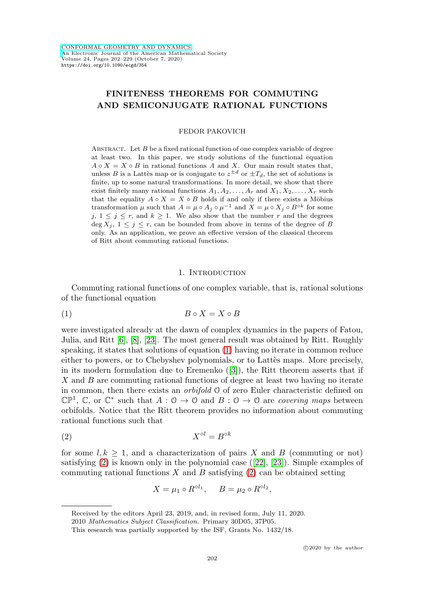# **FINITENESS THEOREMS FOR COMMUTING AND SEMICONJUGATE RATIONAL FUNCTIONS**

FEDOR PAKOVICH

ABSTRACT. Let  $B$  be a fixed rational function of one complex variable of degree at least two. In this paper, we study solutions of the functional equation  $A \circ X = X \circ B$  in rational functions A and X. Our main result states that, unless B is a Lattès map or is conjugate to  $z^{\pm d}$  or  $\pm T_d$ , the set of solutions is finite, up to some natural transformations. In more detail, we show that there exist finitely many rational functions  $A_1, A_2, \ldots, A_r$  and  $X_1, X_2, \ldots, X_r$  such that the equality  $A \circ X = X \circ B$  holds if and only if there exists a Möbius transformation  $\mu$  such that  $A = \mu \circ A_i \circ \mu^{-1}$  and  $X = \mu \circ X_i \circ B^{\circ k}$  for some j,  $1 \leq j \leq r$ , and  $k \geq 1$ . We also show that the number r and the degrees  $\deg X_j$ ,  $1 \leq j \leq r$ , can be bounded from above in terms of the degree of B only. As an application, we prove an effective version of the classical theorem of Ritt about commuting rational functions.

# 1. INTRODUCTION

Commuting rational functions of one complex variable, that is, rational solutions of the functional equation

<span id="page-0-0"></span>
$$
(1) \t\t B \circ X = X \circ B
$$

were investigated already at the dawn of complex dynamics in the papers of Fatou, Julia, and Ritt [\[6\]](#page-27-0), [\[8\]](#page-27-1), [\[23\]](#page-27-2). The most general result was obtained by Ritt. Roughly speaking, it states that solutions of equation [\(1\)](#page-0-0) having no iterate in common reduce either to powers, or to Chebyshev polynomials, or to Lattès maps. More precisely, in its modern formulation due to Eremenko ([\[3\]](#page-26-0)), the Ritt theorem asserts that if X and B are commuting rational functions of degree at least two having no iterate in common, then there exists an orbifold O of zero Euler characteristic defined on  $\mathbb{CP}^1$ , C, or  $\mathbb{C}^*$  such that  $A: \mathbb{O} \to \mathbb{O}$  and  $B: \mathbb{O} \to \mathbb{O}$  are *covering maps* between orbifolds. Notice that the Ritt theorem provides no information about commuting rational functions such that

<span id="page-0-1"></span>
$$
(2) \t\t Xol = Bok
$$

for some  $l, k \geq 1$ , and a characterization of pairs X and B (commuting or not) satisfying  $(2)$  is known only in the polynomial case  $([22], [23])$  $([22], [23])$  $([22], [23])$  $([22], [23])$  $([22], [23])$ . Simple examples of commuting rational functions  $X$  and  $B$  satisfying [\(2\)](#page-0-1) can be obtained setting

$$
X = \mu_1 \circ R^{\circ l_1}, \quad B = \mu_2 \circ R^{\circ l_2},
$$

Received by the editors April 23, 2019, and, in revised form, July 11, 2020.

<sup>2010</sup> Mathematics Subject Classification. Primary 30D05, 37P05.

This research was partially supported by the ISF, Grants No. 1432/18.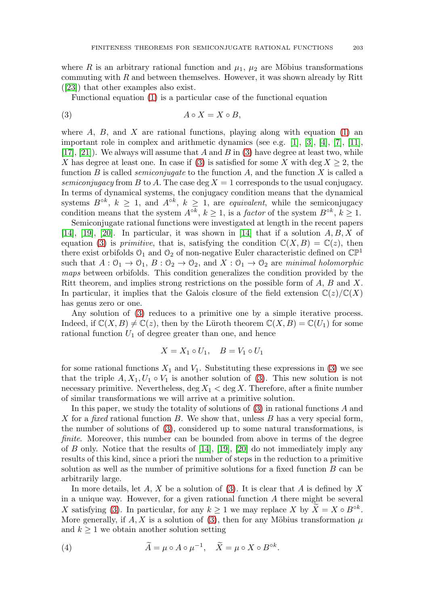where R is an arbitrary rational function and  $\mu_1$ ,  $\mu_2$  are Möbius transformations commuting with R and between themselves. However, it was shown already by Ritt ([\[23\]](#page-27-2)) that other examples also exist.

Functional equation [\(1\)](#page-0-0) is a particular case of the functional equation

<span id="page-1-0"></span>
$$
(3) \t\t A \circ X = X \circ B,
$$

where  $A$ ,  $B$ , and  $X$  are rational functions, playing along with equation [\(1\)](#page-0-0) an important role in complex and arithmetic dynamics (see e.g. [\[1\]](#page-26-1), [\[3\]](#page-26-0), [\[4\]](#page-27-4), [\[7\]](#page-27-5), [\[11\]](#page-27-6),  $[17], [21]$  $[17], [21]$  $[17], [21]$ . We always will assume that A and B in [\(3\)](#page-1-0) have degree at least two, while X has degree at least one. In case if [\(3\)](#page-1-0) is satisfied for some X with deg  $X \geq 2$ , the function B is called *semiconjugate* to the function  $A$ , and the function  $X$  is called a semiconjugacy from B to A. The case deg  $X = 1$  corresponds to the usual conjugacy. In terms of dynamical systems, the conjugacy condition means that the dynamical systems  $B^{\circ k}$ ,  $k \geq 1$ , and  $A^{\circ k}$ ,  $k \geq 1$ , are *equivalent*, while the semiconjugacy condition means that the system  $A^{\circ k}$ ,  $k \ge 1$ , is a *factor* of the system  $B^{\circ k}$ ,  $k \ge 1$ .

Semiconjugate rational functions were investigated at length in the recent papers [\[14\]](#page-27-9), [\[19\]](#page-27-10), [\[20\]](#page-27-11). In particular, it was shown in [14] that if a solution  $A, B, X$  of equation [\(3\)](#page-1-0) is *primitive*, that is, satisfying the condition  $\mathbb{C}(X, B) = \mathbb{C}(z)$ , then there exist orbifolds  $\mathcal{O}_1$  and  $\mathcal{O}_2$  of non-negative Euler characteristic defined on  $\mathbb{CP}^1$ such that  $A: \mathcal{O}_1 \to \mathcal{O}_1$ ,  $B: \mathcal{O}_2 \to \mathcal{O}_2$ , and  $X: \mathcal{O}_1 \to \mathcal{O}_2$  are minimal holomorphic maps between orbifolds. This condition generalizes the condition provided by the Ritt theorem, and implies strong restrictions on the possible form of  $A, B$  and  $X$ . In particular, it implies that the Galois closure of the field extension  $\mathbb{C}(z)/\mathbb{C}(X)$ has genus zero or one.

Any solution of [\(3\)](#page-1-0) reduces to a primitive one by a simple iterative process. Indeed, if  $\mathbb{C}(X, B) \neq \mathbb{C}(z)$ , then by the Lüroth theorem  $\mathbb{C}(X, B) = \mathbb{C}(U_1)$  for some rational function  $U_1$  of degree greater than one, and hence

$$
X = X_1 \circ U_1, \quad B = V_1 \circ U_1
$$

for some rational functions  $X_1$  and  $V_1$ . Substituting these expressions in [\(3\)](#page-1-0) we see that the triple  $A, X_1, U_1 \circ V_1$  is another solution of [\(3\)](#page-1-0). This new solution is not necessary primitive. Nevertheless,  $\deg X_1 < \deg X$ . Therefore, after a finite number of similar transformations we will arrive at a primitive solution.

In this paper, we study the totality of solutions of [\(3\)](#page-1-0) in rational functions A and X for a fixed rational function B. We show that, unless B has a very special form, the number of solutions of [\(3\)](#page-1-0), considered up to some natural transformations, is finite. Moreover, this number can be bounded from above in terms of the degree of  $B$  only. Notice that the results of  $[14]$ ,  $[19]$ ,  $[20]$  do not immediately imply any results of this kind, since a priori the number of steps in the reduction to a primitive solution as well as the number of primitive solutions for a fixed function B can be arbitrarily large.

In more details, let  $A, X$  be a solution of [\(3\)](#page-1-0). It is clear that  $A$  is defined by  $X$ in a unique way. However, for a given rational function  $A$  there might be several X satisfying [\(3\)](#page-1-0). In particular, for any  $k \geq 1$  we may replace X by  $\widetilde{X} = X \circ B^{\circ k}$ . More generally, if A, X is a solution of [\(3\)](#page-1-0), then for any Möbius transformation  $\mu$ and  $k \geq 1$  we obtain another solution setting

<span id="page-1-1"></span>(4) 
$$
\widetilde{A} = \mu \circ A \circ \mu^{-1}, \quad \widetilde{X} = \mu \circ X \circ B^{\circ k}.
$$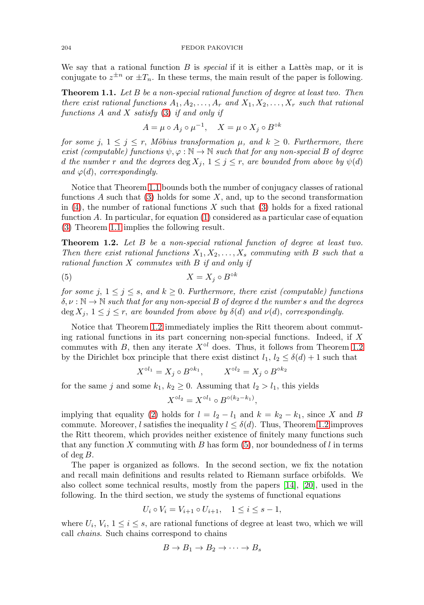We say that a rational function  $B$  is *special* if it is either a Lattes map, or it is conjugate to  $z^{\pm n}$  or  $\pm T_n$ . In these terms, the main result of the paper is following.

<span id="page-2-0"></span>**Theorem 1.1.** Let B be a non-special rational function of degree at least two. Then there exist rational functions  $A_1, A_2, \ldots, A_r$  and  $X_1, X_2, \ldots, X_r$  such that rational functions A and X satisfy [\(3\)](#page-1-0) if and only if

$$
A = \mu \circ A_j \circ \mu^{-1}, \quad X = \mu \circ X_j \circ B^{\circ k}
$$

for some j,  $1 \leq j \leq r$ , Möbius transformation  $\mu$ , and  $k \geq 0$ . Furthermore, there exist (computable) functions  $\psi, \varphi : \mathbb{N} \to \mathbb{N}$  such that for any non-special B of degree d the number r and the degrees  $\deg X_j$ ,  $1 \leq j \leq r$ , are bounded from above by  $\psi(d)$ and  $\varphi(d)$ , correspondingly.

Notice that Theorem [1.1](#page-2-0) bounds both the number of conjugacy classes of rational functions A such that  $(3)$  holds for some X, and, up to the second transformation in  $(4)$ , the number of rational functions X such that  $(3)$  holds for a fixed rational function A. In particular, for equation  $(1)$  considered as a particular case of equation [\(3\)](#page-1-0) Theorem [1.1](#page-2-0) implies the following result.

<span id="page-2-1"></span>**Theorem 1.2.** Let B be a non-special rational function of degree at least two. Then there exist rational functions  $X_1, X_2, \ldots, X_s$  commuting with B such that a rational function  $X$  commutes with  $B$  if and only if

<span id="page-2-2"></span>
$$
(5) \t\t X = X_j \circ B^{\circ k}
$$

for some j,  $1 \leq j \leq s$ , and  $k \geq 0$ . Furthermore, there exist (computable) functions  $\delta, \nu : \mathbb{N} \to \mathbb{N}$  such that for any non-special B of degree d the number s and the degrees  $\deg X_i, 1 \leq j \leq r$ , are bounded from above by  $\delta(d)$  and  $\nu(d)$ , correspondingly.

Notice that Theorem [1.2](#page-2-1) immediately implies the Ritt theorem about commuting rational functions in its part concerning non-special functions. Indeed, if  $X$ commutes with B, then any iterate  $X^{\circ l}$  does. Thus, it follows from Theorem [1.2](#page-2-1) by the Dirichlet box principle that there exist distinct  $l_1, l_2 \leq \delta(d) + 1$  such that

$$
X^{\circ l_1} = X_j \circ B^{\circ k_1}, \qquad X^{\circ l_2} = X_j \circ B^{\circ k_2}
$$

for the same j and some  $k_1, k_2 \geq 0$ . Assuming that  $l_2 > l_1$ , this yields

$$
X^{\circ l_2} = X^{\circ l_1} \circ B^{\circ (k_2 - k_1)},
$$

implying that equality [\(2\)](#page-0-1) holds for  $l = l_2 - l_1$  and  $k = k_2 - k_1$ , since X and B commute. Moreover, l satisfies the inequality  $l \leq \delta(d)$ . Thus, Theorem [1.2](#page-2-1) improves the Ritt theorem, which provides neither existence of finitely many functions such that any function X commuting with B has form  $(5)$ , nor boundedness of l in terms of deg  $B$ .

The paper is organized as follows. In the second section, we fix the notation and recall main definitions and results related to Riemann surface orbifolds. We also collect some technical results, mostly from the papers [\[14\]](#page-27-9), [\[20\]](#page-27-11), used in the following. In the third section, we study the systems of functional equations

$$
U_i \circ V_i = V_{i+1} \circ U_{i+1}, \quad 1 \le i \le s-1,
$$

where  $U_i, V_i, 1 \leq i \leq s$ , are rational functions of degree at least two, which we will call chains. Such chains correspond to chains

$$
B \to B_1 \to B_2 \to \cdots \to B_s
$$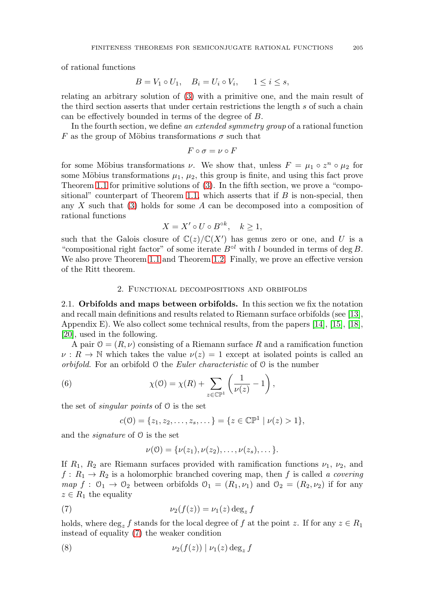of rational functions

$$
B = V_1 \circ U_1, \quad B_i = U_i \circ V_i, \quad 1 \le i \le s,
$$

relating an arbitrary solution of [\(3\)](#page-1-0) with a primitive one, and the main result of the third section asserts that under certain restrictions the length s of such a chain can be effectively bounded in terms of the degree of B.

In the fourth section, we define an extended symmetry group of a rational function F as the group of Möbius transformations  $\sigma$  such that

$$
F\circ \sigma=\nu\circ F
$$

for some Möbius transformations  $\nu$ . We show that, unless  $F = \mu_1 \circ z^n \circ \mu_2$  for some Möbius transformations  $\mu_1$ ,  $\mu_2$ , this group is finite, and using this fact prove Theorem [1.1](#page-2-0) for primitive solutions of [\(3\)](#page-1-0). In the fifth section, we prove a "compo-sitional" counterpart of Theorem [1.1,](#page-2-0) which asserts that if  $B$  is non-special, then any  $X$  such that [\(3\)](#page-1-0) holds for some  $A$  can be decomposed into a composition of rational functions

$$
X = X' \circ U \circ B^{\circ k}, \quad k \ge 1,
$$

such that the Galois closure of  $\mathbb{C}(z)/\mathbb{C}(X')$  has genus zero or one, and U is a "compositional right factor" of some iterate  $B^{\circ l}$  with l bounded in terms of deg B. We also prove Theorem [1.1](#page-2-0) and Theorem [1.2.](#page-2-1) Finally, we prove an effective version of the Ritt theorem.

# 2. Functional decompositions and orbifolds

2.1. **Orbifolds and maps between orbifolds.** In this section we fix the notation and recall main definitions and results related to Riemann surface orbifolds (see [\[13\]](#page-27-12), Appendix E). We also collect some technical results, from the papers  $[14]$ ,  $[15]$ ,  $[18]$ , [\[20\]](#page-27-11), used in the following.

A pair  $0 = (R, \nu)$  consisting of a Riemann surface R and a ramification function  $\nu : R \to \mathbb{N}$  which takes the value  $\nu(z) = 1$  except at isolated points is called an *orbifold.* For an orbifold  $\theta$  the *Euler characteristic* of  $\theta$  is the number

<span id="page-3-2"></span>(6) 
$$
\chi(0) = \chi(R) + \sum_{z \in \mathbb{CP}^1} \left( \frac{1}{\nu(z)} - 1 \right),
$$

the set of *singular points* of  $\theta$  is the set

$$
c(\mathcal{O}) = \{z_1, z_2, \dots, z_s, \dots\} = \{z \in \mathbb{CP}^1 \mid \nu(z) > 1\},\
$$

and the signature of O is the set

$$
\nu(0) = {\nu(z_1), \nu(z_2), \ldots, \nu(z_s), \ldots}.
$$

If  $R_1$ ,  $R_2$  are Riemann surfaces provided with ramification functions  $\nu_1$ ,  $\nu_2$ , and  $f: R_1 \to R_2$  is a holomorphic branched covering map, then f is called a covering  $map f : \mathcal{O}_1 \to \mathcal{O}_2$  between orbifolds  $\mathcal{O}_1 = (R_1, \nu_1)$  and  $\mathcal{O}_2 = (R_2, \nu_2)$  if for any  $z \in R_1$  the equality

<span id="page-3-0"></span>(7) 
$$
\nu_2(f(z)) = \nu_1(z) \deg_z f
$$

holds, where  $\deg_z f$  stands for the local degree of f at the point z. If for any  $z \in R_1$ instead of equality [\(7\)](#page-3-0) the weaker condition

<span id="page-3-1"></span>
$$
(8) \t\nu_2(f(z)) | \nu_1(z) \deg_z f
$$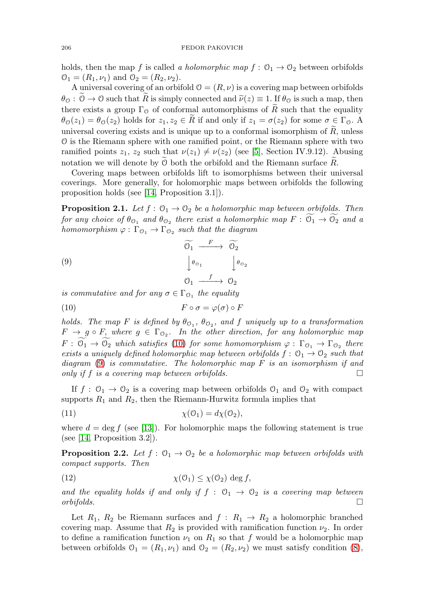holds, then the map f is called a holomorphic map  $f: \mathcal{O}_1 \to \mathcal{O}_2$  between orbifolds  $\mathcal{O}_1 = (R_1, \nu_1)$  and  $\mathcal{O}_2 = (R_2, \nu_2)$ .

A universal covering of an orbifold  $\mathcal{O} = (R, \nu)$  is a covering map between orbifolds  $\theta_{\mathcal{O}} : \mathcal{O} \to \mathcal{O}$  such that R is simply connected and  $\widetilde{\nu}(z) \equiv 1$ . If  $\theta_{\mathcal{O}}$  is such a map, then there exists a group  $\Gamma_0$  of conformal automorphisms of R such that the equality  $\theta_{\mathcal{O}}(z_1) = \theta_{\mathcal{O}}(z_2)$  holds for  $z_1, z_2 \in R$  if and only if  $z_1 = \sigma(z_2)$  for some  $\sigma \in \Gamma_{\mathcal{O}}$ . A universal covering exists and is unique up to a conformal isomorphism of  $R$ , unless O is the Riemann sphere with one ramified point, or the Riemann sphere with two ramified points  $z_1$ ,  $z_2$  such that  $\nu(z_1) \neq \nu(z_2)$  (see [\[5\]](#page-27-15), Section IV.9.12). Abusing notation we will denote by  $\mathcal O$  both the orbifold and the Riemann surface  $R$ .

Covering maps between orbifolds lift to isomorphisms between their universal coverings. More generally, for holomorphic maps between orbifolds the following proposition holds (see [\[14,](#page-27-9) Proposition 3.1]).

<span id="page-4-3"></span>**Proposition 2.1.** Let  $f: \mathcal{O}_1 \to \mathcal{O}_2$  be a holomorphic map between orbifolds. Then for any choice of  $\theta_{\mathcal{O}_1}$  and  $\theta_{\mathcal{O}_2}$  there exist a holomorphic map  $F: \mathcal{O}_1 \to \mathcal{O}_2$  and a homomorphism  $\varphi : \Gamma_{\mathcal{O}_1} \to \Gamma_{\mathcal{O}_2}$  such that the diagram

<span id="page-4-1"></span>(9)  
\n
$$
\begin{array}{ccc}\n\widetilde{\mathcal{O}_1} & \xrightarrow{F} & \widetilde{\mathcal{O}_2} \\
\downarrow \theta_{\mathcal{O}_1} & & \downarrow \theta_{\mathcal{O}_2} \\
\mathcal{O}_1 & \xrightarrow{f} & \mathcal{O}_2\n\end{array}
$$

is commutative and for any  $\sigma \in \Gamma_{\mathcal{O}_1}$  the equality

<span id="page-4-0"></span>
$$
(10) \t\t\t F \circ \sigma = \varphi(\sigma) \circ F
$$

holds. The map F is defined by  $\theta_{\mathcal{O}_1}$ ,  $\theta_{\mathcal{O}_2}$ , and f uniquely up to a transformation  $F \to g \circ F$ , where  $g \in \Gamma_{\mathcal{O}_2}$ . In the other direction, for any holomorphic map  $F: \mathcal{O}_1 \to \mathcal{O}_2$  which satisfies [\(10\)](#page-4-0) for some homomorphism  $\varphi: \Gamma_{\mathcal{O}_1} \to \Gamma_{\mathcal{O}_2}$  there exists a uniquely defined holomorphic map between orbifolds  $f: \mathcal{O}_1 \to \mathcal{O}_2$  such that diagram  $(9)$  is commutative. The holomorphic map F is an isomorphism if and only if f is a covering map between orbifolds.  $\Box$ 

If  $f: \mathcal{O}_1 \to \mathcal{O}_2$  is a covering map between orbifolds  $\mathcal{O}_1$  and  $\mathcal{O}_2$  with compact supports  $R_1$  and  $R_2$ , then the Riemann-Hurwitz formula implies that

<span id="page-4-2"></span>(11) 
$$
\chi(\mathbf{0}_1) = d\chi(\mathbf{0}_2),
$$

where  $d = \deg f$  (see [\[13\]](#page-27-12)). For holomorphic maps the following statement is true (see  $[14,$  Proposition 3.2]).

<span id="page-4-4"></span>**Proposition 2.2.** Let  $f: \mathcal{O}_1 \to \mathcal{O}_2$  be a holomorphic map between orbifolds with compact supports. Then

<span id="page-4-5"></span>(12) 
$$
\chi(\mathcal{O}_1) \leq \chi(\mathcal{O}_2) \deg f,
$$

and the equality holds if and only if  $f : \mathcal{O}_1 \to \mathcal{O}_2$  is a covering map between  $or\\boldsymbol{s}.$ 

Let  $R_1$ ,  $R_2$  be Riemann surfaces and  $f: R_1 \rightarrow R_2$  a holomorphic branched covering map. Assume that  $R_2$  is provided with ramification function  $\nu_2$ . In order to define a ramification function  $\nu_1$  on  $R_1$  so that f would be a holomorphic map between orbifolds  $\mathcal{O}_1 = (R_1, \nu_1)$  and  $\mathcal{O}_2 = (R_2, \nu_2)$  we must satisfy condition [\(8\)](#page-3-1),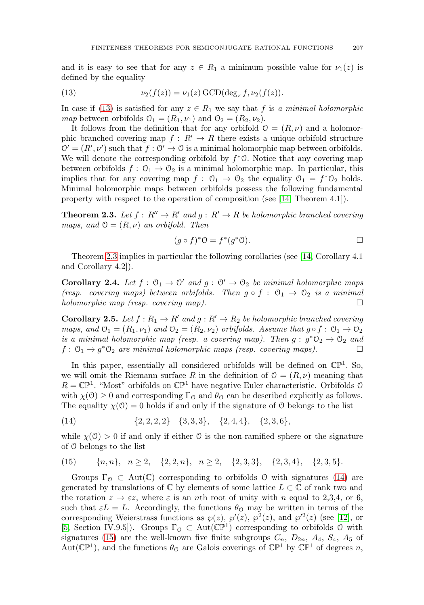and it is easy to see that for any  $z \in R_1$  a minimum possible value for  $\nu_1(z)$  is defined by the equality

<span id="page-5-0"></span>(13) 
$$
\nu_2(f(z)) = \nu_1(z) \,\text{GCD}(\deg_z f, \nu_2(f(z)).
$$

In case if [\(13\)](#page-5-0) is satisfied for any  $z \in R_1$  we say that f is a minimal holomorphic map between orbifolds  $\mathcal{O}_1 = (R_1, \nu_1)$  and  $\mathcal{O}_2 = (R_2, \nu_2)$ .

It follows from the definition that for any orbifold  $\mathcal{O} = (R, \nu)$  and a holomorphic branched covering map  $f: R' \to R$  there exists a unique orbifold structure  $\mathcal{O}' = (R', \nu')$  such that  $f : \mathcal{O}' \to \mathcal{O}$  is a minimal holomorphic map between orbifolds. We will denote the corresponding orbifold by  $f^*O$ . Notice that any covering map between orbifolds  $f: \mathcal{O}_1 \to \mathcal{O}_2$  is a minimal holomorphic map. In particular, this implies that for any covering map  $f: \mathcal{O}_1 \to \mathcal{O}_2$  the equality  $\mathcal{O}_1 = f^*\mathcal{O}_2$  holds. Minimal holomorphic maps between orbifolds possess the following fundamental property with respect to the operation of composition (see [\[14,](#page-27-9) Theorem 4.1]).

<span id="page-5-1"></span>**Theorem 2.3.** Let  $f: R'' \to R'$  and  $g: R' \to R$  be holomorphic branched covering maps, and  $\mathcal{O} = (R, \nu)$  an orbifold. Then

$$
(g \circ f)^* \mathcal{O} = f^*(g^* \mathcal{O}). \qquad \qquad \Box
$$

Theorem [2.3](#page-5-1) implies in particular the following corollaries (see [\[14,](#page-27-9) Corollary 4.1 and Corollary 4.2]).

<span id="page-5-4"></span>**Corollary 2.4.** Let  $f: \mathcal{O}_1 \to \mathcal{O}'$  and  $g: \mathcal{O}' \to \mathcal{O}_2$  be minimal holomorphic maps (resp. covering maps) between orbifolds. Then  $g \circ f : \mathcal{O}_1 \to \mathcal{O}_2$  is a minimal holomorphic map (resp. covering map).  $\Box$ 

<span id="page-5-5"></span>**Corollary 2.5.** Let  $f: R_1 \to R'$  and  $g: R' \to R_2$  be holomorphic branched covering maps, and  $\mathcal{O}_1 = (R_1, \nu_1)$  and  $\mathcal{O}_2 = (R_2, \nu_2)$  orbifolds. Assume that  $q \circ f : \mathcal{O}_1 \to \mathcal{O}_2$ is a minimal holomorphic map (resp. a covering map). Then  $q : g^* \mathcal{O}_2 \to \mathcal{O}_2$  and  $f: \mathcal{O}_1 \rightarrow g^*\mathcal{O}_2$  are minimal holomorphic maps (resp. covering maps).

In this paper, essentially all considered orbifolds will be defined on  $\mathbb{CP}^1$ . So, we will omit the Riemann surface R in the definition of  $\mathcal{O} = (R, \nu)$  meaning that  $R = \mathbb{CP}^1$ . "Most" orbifolds on  $\mathbb{CP}^1$  have negative Euler characteristic. Orbifolds 0 with  $\chi(0) \geq 0$  and corresponding  $\Gamma_0$  and  $\theta_0$  can be described explicitly as follows. The equality  $\chi(0) = 0$  holds if and only if the signature of 0 belongs to the list

<span id="page-5-2"></span>
$$
(14) \qquad \qquad \{2,2,2,2\} \quad \{3,3,3\}, \quad \{2,4,4\}, \quad \{2,3,6\},
$$

while  $\chi(\mathcal{O}) > 0$  if and only if either  $\mathcal{O}$  is the non-ramified sphere or the signature of O belongs to the list

<span id="page-5-3"></span>(15) 
$$
\{n, n\}, n \ge 2, \{2, 2, n\}, n \ge 2, \{2, 3, 3\}, \{2, 3, 4\}, \{2, 3, 5\}.
$$

Groups  $\Gamma_{\mathcal{O}} \subset \text{Aut}(\mathbb{C})$  corresponding to orbifolds 0 with signatures [\(14\)](#page-5-2) are generated by translations of  $\mathbb C$  by elements of some lattice  $L \subset \mathbb C$  of rank two and the rotation  $z \to \varepsilon z$ , where  $\varepsilon$  is an nth root of unity with n equal to 2,3,4, or 6, such that  $\varepsilon L = L$ . Accordingly, the functions  $\theta_0$  may be written in terms of the corresponding Weierstrass functions as  $\wp(z)$ ,  $\wp'(z)$ ,  $\wp^2(z)$ , and  $\wp'^2(z)$  (see [\[12\]](#page-27-16), or [\[5,](#page-27-15) Section IV.9.5]). Groups  $\Gamma_{\mathcal{O}} \subset \text{Aut}(\mathbb{CP}^1)$  corresponding to orbifolds  $\mathcal{O}$  with signatures [\(15\)](#page-5-3) are the well-known five finite subgroups  $C_n$ ,  $D_{2n}$ ,  $A_4$ ,  $S_4$ ,  $A_5$  of Aut( $\mathbb{CP}^1$ ), and the functions  $\theta_{\mathcal{O}}$  are Galois coverings of  $\mathbb{CP}^1$  by  $\mathbb{CP}^1$  of degrees n,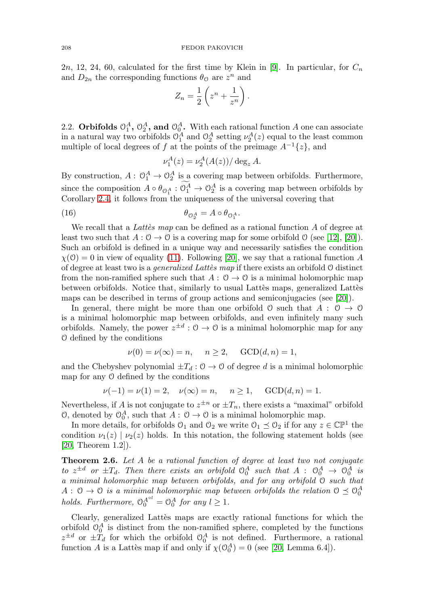2n, 12, 24, 60, calculated for the first time by Klein in [\[9\]](#page-27-17). In particular, for  $C_n$ and  $D_{2n}$  the corresponding functions  $\theta_{\mathcal{O}}$  are  $z^n$  and

$$
Z_n = \frac{1}{2} \left( z^n + \frac{1}{z^n} \right).
$$

2.2. **Orbifolds**  $\mathbb{O}_1^A$ ,  $\mathbb{O}_2^A$ , and  $\mathbb{O}_0^A$ . With each rational function A one can associate in a natural way two orbifolds  $\mathcal{O}_1^A$  and  $\mathcal{O}_2^A$  setting  $\nu_2^A(z)$  equal to the least common multiple of local degrees of f at the points of the preimage  $A^{-1}{z}$ , and

$$
\nu_1^A(z) = \nu_2^A(A(z)) / \deg_z A.
$$

By construction,  $A: \mathcal{O}_1^A \to \mathcal{O}_2^A$  is a covering map between orbifolds. Furthermore, since the composition  $A \circ \theta_{\mathcal{O}_1^A} : \mathcal{O}_1^A \to \mathcal{O}_2^A$  is a covering map between orbifolds by Corollary [2.4,](#page-5-4) it follows from the uniqueness of the universal covering that

<span id="page-6-1"></span>(16) 
$$
\theta_{\mathcal{O}_2^A} = A \circ \theta_{\mathcal{O}_1^A}.
$$

We recall that a Lattes map can be defined as a rational function A of degree at least two such that  $A: \mathcal{O} \to \mathcal{O}$  is a covering map for some orbifold  $\mathcal{O}$  (see [\[12\]](#page-27-16), [\[20\]](#page-27-11)). Such an orbifold is defined in a unique way and necessarily satisfies the condition  $\chi(\mathcal{O}) = 0$  in view of equality [\(11\)](#page-4-2). Following [\[20\]](#page-27-11), we say that a rational function A of degree at least two is a *generalized Lattes map* if there exists an orbifold O distinct from the non-ramified sphere such that  $A: \mathcal{O} \to \mathcal{O}$  is a minimal holomorphic map between orbifolds. Notice that, similarly to usual Latter maps, generalized Lattes maps can be described in terms of group actions and semiconjugacies (see [\[20\]](#page-27-11)).

In general, there might be more than one orbifold  $\mathcal O$  such that  $A : \mathcal O \to \mathcal O$ is a minimal holomorphic map between orbifolds, and even infinitely many such orbifolds. Namely, the power  $z^{\pm d}$ :  $\theta \to \theta$  is a minimal holomorphic map for any O defined by the conditions

$$
\nu(0) = \nu(\infty) = n, \quad n \ge 2, \quad \text{GCD}(d, n) = 1,
$$

and the Chebyshev polynomial  $\pm T_d$ :  $0 \rightarrow 0$  of degree d is a minimal holomorphic map for any O defined by the conditions

$$
\nu(-1) = \nu(1) = 2
$$
,  $\nu(\infty) = n$ ,  $n \ge 1$ ,  $GCD(d, n) = 1$ .

Nevertheless, if A is not conjugate to  $z^{\pm n}$  or  $\pm T_n$ , there exists a "maximal" orbifold  $\mathcal{O}$ , denoted by  $\mathcal{O}_0^A$ , such that  $A: \mathcal{O} \to \mathcal{O}$  is a minimal holomorphic map.

In more details, for orbifolds  $\mathcal{O}_1$  and  $\mathcal{O}_2$  we write  $\mathcal{O}_1 \preceq \mathcal{O}_2$  if for any  $z \in \mathbb{CP}^1$  the condition  $\nu_1(z) | \nu_2(z)$  holds. In this notation, the following statement holds (see [\[20,](#page-27-11) Theorem 1.2]).

<span id="page-6-0"></span>**Theorem 2.6.** Let A be a rational function of degree at least two not conjugate to  $z^{\pm d}$  or  $\pm T_d$ . Then there exists an orbifold  $\mathcal{O}_0^A$  such that  $A$  :  $\mathcal{O}_0^A \to \mathcal{O}_0^A$  is a minimal holomorphic map between orbifolds, and for any orbifold O such that  $A: \mathcal{O} \to \mathcal{O}$  is a minimal holomorphic map between orbifolds the relation  $\mathcal{O} \preceq \mathcal{O}_0^A$ holds. Furthermore,  $\mathcal{O}_0^{A^{\circ l}} = \mathcal{O}_0^A$  for any  $l \geq 1$ .

Clearly, generalized Lattès maps are exactly rational functions for which the orbifold  $\mathcal{O}_0^A$  is distinct from the non-ramified sphere, completed by the functions  $z^{\pm d}$  or  $\pm T_d$  for which the orbifold  $\mathcal{O}_0^A$  is not defined. Furthermore, a rational function A is a Lattes map if and only if  $\chi(\mathcal{O}_0^A) = 0$  (see [\[20,](#page-27-11) Lemma 6.4]).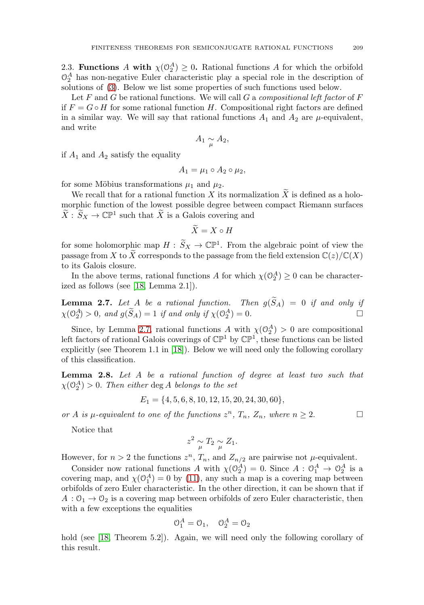<span id="page-7-1"></span>2.3. **Functions** A with  $\chi(\mathcal{O}_2^A) \geq 0$ . Rational functions A for which the orbifold  $\mathcal{O}_2^A$  has non-negative Euler characteristic play a special role in the description of solutions of [\(3\)](#page-1-0). Below we list some properties of such functions used below.

Let F and G be rational functions. We will call G a compositional left factor of  $F$ if  $F = G \circ H$  for some rational function H. Compositional right factors are defined in a similar way. We will say that rational functions  $A_1$  and  $A_2$  are  $\mu$ -equivalent, and write

$$
A_1 \underset{\mu}{\sim} A_2,
$$

if  $A_1$  and  $A_2$  satisfy the equality

$$
A_1 = \mu_1 \circ A_2 \circ \mu_2,
$$

for some Möbius transformations  $\mu_1$  and  $\mu_2$ .

We recall that for a rational function  $X$  its normalization  $X$  is defined as a holomorphic function of the lowest possible degree between compact Riemann surfaces  $\widetilde{X}$ :  $\widetilde{S}_X \to \mathbb{C}\mathbb{P}^1$  such that  $\widetilde{X}$  is a Galois covering and

$$
\tilde{X} = X \circ H
$$

for some holomorphic map  $H: \widetilde{S}_X \to \mathbb{C}\mathbb{P}^1$ . From the algebraic point of view the passage from X to  $\widetilde{X}$  corresponds to the passage from the field extension  $\mathbb{C}(z)/\mathbb{C}(X)$ to its Galois closure.

In the above terms, rational functions A for which  $\chi(\mathcal{O}_2^A) \geq 0$  can be characterized as follows (see [\[18,](#page-27-14) Lemma 2.1]).

<span id="page-7-0"></span>**Lemma 2.7.** Let  $A$  be a rational function. Then  $g(S_A) = 0$  if and only if  $\chi(\mathbb{O}_2^A) > 0$ , and  $g(\tilde{S}_A) = 1$  if and only if  $\chi(\mathbb{O}_2^A) = 0$ .

Since, by Lemma [2.7,](#page-7-0) rational functions A with  $\chi(\mathcal{O}_2^A) > 0$  are compositional left factors of rational Galois coverings of  $\mathbb{CP}^1$  by  $\mathbb{CP}^1$ , these functions can be listed explicitly (see Theorem 1.1 in [\[18\]](#page-27-14)). Below we will need only the following corollary of this classification.

<span id="page-7-2"></span>**Lemma 2.8.** Let A be a rational function of degree at least two such that  $\chi(\mathcal{O}_2^A) > 0$ . Then either deg A belongs to the set

$$
E_1 = \{4, 5, 6, 8, 10, 12, 15, 20, 24, 30, 60\},\
$$

or A is  $\mu$ -equivalent to one of the functions  $z^n$ ,  $T_n$ ,  $Z_n$ , where  $n \geq 2$ .

 $\Box$ 

Notice that

$$
z^2 \underset{\mu}{\sim} T_2 \underset{\mu}{\sim} Z_1.
$$

However, for  $n > 2$  the functions  $z^n$ ,  $T_n$ , and  $Z_{n/2}$  are pairwise not  $\mu$ -equivalent.

Consider now rational functions A with  $\chi(\mathcal{O}_2^A) = 0$ . Since  $A : \mathcal{O}_1^A \to \mathcal{O}_2^A$  is a covering map, and  $\chi(\mathcal{O}_1^A) = 0$  by [\(11\)](#page-4-2), any such a map is a covering map between orbifolds of zero Euler characteristic. In the other direction, it can be shown that if  $A: \mathcal{O}_1 \to \mathcal{O}_2$  is a covering map between orbifolds of zero Euler characteristic, then with a few exceptions the equalities

$$
\mathcal{O}_1^A = \mathcal{O}_1, \quad \mathcal{O}_2^A = \mathcal{O}_2
$$

hold (see [\[18,](#page-27-14) Theorem 5.2]). Again, we will need only the following corollary of this result.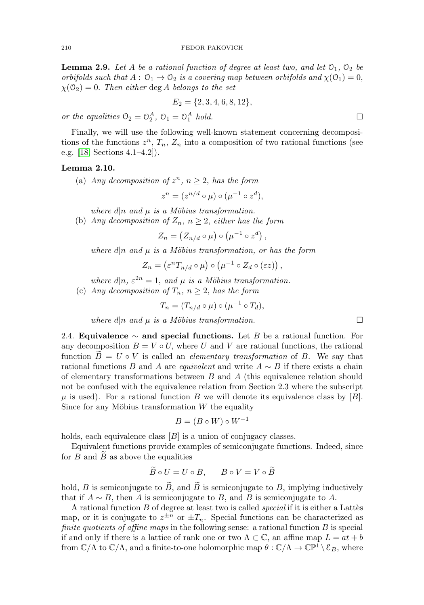<span id="page-8-1"></span>**Lemma 2.9.** Let A be a rational function of degree at least two, and let  $\mathcal{O}_1$ ,  $\mathcal{O}_2$  be orbifolds such that  $A: \mathcal{O}_1 \to \mathcal{O}_2$  is a covering map between orbifolds and  $\chi(\mathcal{O}_1)=0$ ,  $\chi(\mathcal{O}_2)=0$ . Then either deg A belongs to the set

$$
E_2 = \{2, 3, 4, 6, 8, 12\},\
$$

or the equalities  $\mathcal{O}_2 = \mathcal{O}_2^A$ ,  $\mathcal{O}_1 = \mathcal{O}_1^A$  hold.  $\Box$ 

Finally, we will use the following well-known statement concerning decompositions of the functions  $z^n$ ,  $T_n$ ,  $Z_n$  into a composition of two rational functions (see e.g. [\[18,](#page-27-14) Sections 4.1–4.2]).

## <span id="page-8-0"></span>**Lemma 2.10.**

(a) Any decomposition of  $z^n$ ,  $n \geq 2$ , has the form

$$
z^n = (z^{n/d} \circ \mu) \circ (\mu^{-1} \circ z^d),
$$

where  $d|n$  and  $\mu$  is a Möbius transformation.

(b) Any decomposition of  $Z_n$ ,  $n \geq 2$ , either has the form

 $Z_n = (Z_{n/d} \circ \mu) \circ (\mu^{-1} \circ z^d),$ 

where  $d|n$  and  $\mu$  is a Möbius transformation, or has the form

$$
Z_n = (\varepsilon^n T_{n/d} \circ \mu) \circ (\mu^{-1} \circ Z_d \circ (\varepsilon z)),
$$

where  $d|n, \varepsilon^{2n} = 1$ , and  $\mu$  is a Möbius transformation.

(c) Any decomposition of  $T_n$ ,  $n \geq 2$ , has the form

$$
T_n = (T_{n/d} \circ \mu) \circ (\mu^{-1} \circ T_d),
$$

where d|n and  $\mu$  is a Möbius transformation.

2.4. **Equivalence** ∼ **and special functions.** Let B be a rational function. For any decomposition  $B = V \circ U$ , where U and V are rational functions, the rational function  $B = U \circ V$  is called an *elementary transformation* of B. We say that rational functions B and A are *equivalent* and write  $A \sim B$  if there exists a chain of elementary transformations between  $B$  and  $A$  (this equivalence relation should not be confused with the equivalence relation from Section 2.3 where the subscript  $\mu$  is used). For a rational function B we will denote its equivalence class by [B]. Since for any Möbius transformation  $W$  the equality

$$
B = (B \circ W) \circ W^{-1}
$$

holds, each equivalence class  $[B]$  is a union of conjugacy classes.

Equivalent functions provide examples of semiconjugate functions. Indeed, since for  $B$  and  $B$  as above the equalities

$$
B \circ U = U \circ B, \qquad B \circ V = V \circ B
$$

hold,  $B$  is semiconjugate to  $B$ , and  $B$  is semiconjugate to  $B$ , implying inductively that if  $A \sim B$ , then A is semiconjugate to B, and B is semiconjugate to A.

A rational function  $B$  of degree at least two is called *special* if it is either a Lattès map, or it is conjugate to  $z^{\pm n}$  or  $\pm T_n$ . Special functions can be characterized as finite quotients of affine maps in the following sense: a rational function  $B$  is special if and only if there is a lattice of rank one or two  $\Lambda \subset \mathbb{C}$ , an affine map  $L = at + b$ from  $\mathbb{C}/\Lambda$  to  $\mathbb{C}/\Lambda$ , and a finite-to-one holomorphic map  $\theta : \mathbb{C}/\Lambda \to \mathbb{CP}^1 \setminus \mathcal{E}_B$ , where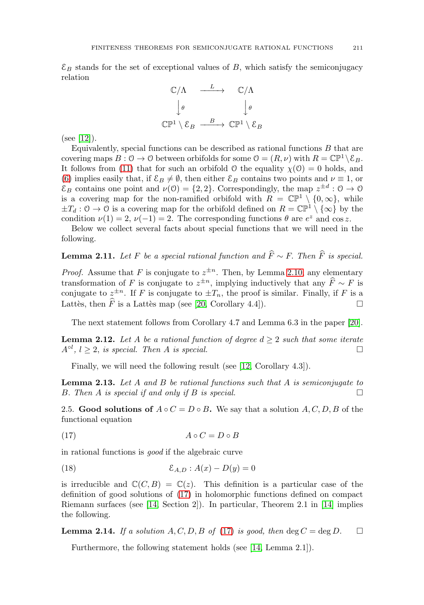$\mathcal{E}_B$  stands for the set of exceptional values of B, which satisfy the semiconjugacy relation



 $(see [12]).$  $(see [12]).$  $(see [12]).$ 

Equivalently, special functions can be described as rational functions  $B$  that are covering maps  $B: \mathcal{O} \to \mathcal{O}$  between orbifolds for some  $\mathcal{O} = (R, \nu)$  with  $R = \mathbb{CP}^1 \backslash \mathcal{E}_B$ . It follows from [\(11\)](#page-4-2) that for such an orbifold  $\theta$  the equality  $\chi(\theta) = 0$  holds, and [\(6\)](#page-3-2) implies easily that, if  $\mathcal{E}_B \neq \emptyset$ , then either  $\mathcal{E}_B$  contains two points and  $\nu \equiv 1$ , or  $\mathcal{E}_B$  contains one point and  $\nu(0) = \{2, 2\}$ . Correspondingly, the map  $z^{\pm d} : 0 \to 0$ is a covering map for the non-ramified orbifold with  $R = \mathbb{CP}^1 \setminus \{0, \infty\}$ , while  $\pm T_d$ :  $0 \to 0$  is a covering map for the orbifold defined on  $R = \mathbb{CP}^1 \setminus {\infty}$  by the condition  $\nu(1) = 2$ ,  $\nu(-1) = 2$ . The corresponding functions  $\theta$  are  $e^z$  and cos z.

Below we collect several facts about special functions that we will need in the following.

<span id="page-9-3"></span>**Lemma 2.11.** Let F be a special rational function and  $\hat{F} \sim F$ . Then  $\hat{F}$  is special.

*Proof.* Assume that F is conjugate to  $z^{\pm n}$ . Then, by Lemma [2.10,](#page-8-0) any elementary transformation of F is conjugate to  $z^{\pm n}$ , implying inductively that any  $\widehat{F} \sim F$  is conjugate to  $z^{\pm n}$ . If F is conjugate to  $\pm T_n$ , the proof is similar. Finally, if F is a Lattès, then  $\widehat{F}$  is a Lattès map (see [\[20,](#page-27-11) Corollary 4.4]).  $\Box$ 

The next statement follows from Corollary 4.7 and Lemma 6.3 in the paper [\[20\]](#page-27-11).

<span id="page-9-4"></span>**Lemma 2.12.** Let A be a rational function of degree  $d > 2$  such that some iterate  $A^{\circ l}$ ,  $l \geq 2$ , is special. Then A is special.  $\Box$ 

Finally, we will need the following result (see [\[12,](#page-27-16) Corollary 4.3]).

<span id="page-9-5"></span>**Lemma 2.13.** Let A and B be rational functions such that A is semiconjugate to B. Then A is special if and only if B is special.  $\Box$ 

2.5. **Good solutions of**  $A \circ C = D \circ B$ . We say that a solution  $A, C, D, B$  of the functional equation

<span id="page-9-0"></span>
$$
(17) \t\t\t A \circ C = D \circ B
$$

in rational functions is good if the algebraic curve

<span id="page-9-1"></span>
$$
(18)\qquad \qquad \mathcal{E}_{A,D}:A(x)-D(y)=0
$$

is irreducible and  $\mathbb{C}(C, B) = \mathbb{C}(z)$ . This definition is a particular case of the definition of good solutions of [\(17\)](#page-9-0) in holomorphic functions defined on compact Riemann surfaces (see [\[14,](#page-27-9) Section 2]). In particular, Theorem 2.1 in [\[14\]](#page-27-9) implies the following.

<span id="page-9-2"></span>**Lemma 2.14.** If a solution A, C, D, B of [\(17\)](#page-9-0) is good, then  $\deg C = \deg D$ .  $\Box$ 

Furthermore, the following statement holds (see [\[14,](#page-27-9) Lemma 2.1]).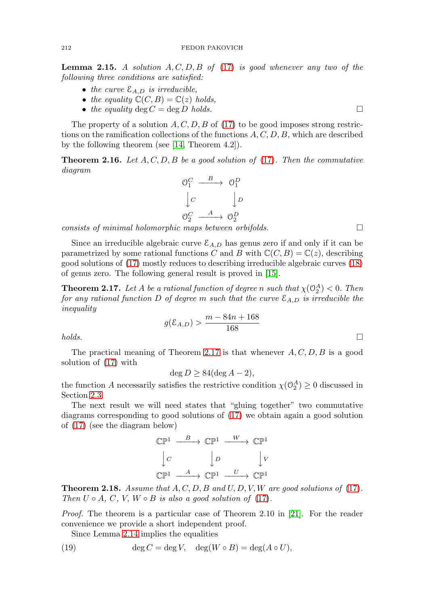<span id="page-10-1"></span>**Lemma 2.15.** A solution  $A, C, D, B$  of [\(17\)](#page-9-0) is good whenever any two of the following three conditions are satisfied:

- the curve  $\mathcal{E}_{A,D}$  is irreducible,
- the equality  $\mathbb{C}(C, B) = \mathbb{C}(z)$  holds,
- the equality deg  $C = \deg D$  holds.

The property of a solution  $A, C, D, B$  of [\(17\)](#page-9-0) to be good imposes strong restrictions on the ramification collections of the functions  $A, C, D, B$ , which are described by the following theorem (see [\[14,](#page-27-9) Theorem 4.2]).

<span id="page-10-4"></span>**Theorem 2.16.** Let  $A, C, D, B$  be a good solution of [\(17\)](#page-9-0). Then the commutative diagram

$$
\begin{array}{ccc}\n\mathbb{O}_1^C & \xrightarrow{B} & \mathbb{O}_1^D \\
\downarrow C & & \downarrow D \\
\mathbb{O}_2^C & \xrightarrow{A} & \mathbb{O}_2^D\n\end{array}
$$

consists of minimal holomorphic maps between orbifolds.

Since an irreducible algebraic curve  $\mathcal{E}_{A,D}$  has genus zero if and only if it can be parametrized by some rational functions C and B with  $\mathbb{C}(C, B) = \mathbb{C}(z)$ , describing good solutions of [\(17\)](#page-9-0) mostly reduces to describing irreducible algebraic curves [\(18\)](#page-9-1) of genus zero. The following general result is proved in [\[15\]](#page-27-13).

<span id="page-10-0"></span>**Theorem 2.17.** Let A be a rational function of degree n such that  $\chi(\mathbb{O}_2^A) < 0$ . Then for any rational function D of degree m such that the curve  $\mathcal{E}_{A,D}$  is irreducible the inequality

$$
g(\mathcal{E}_{A,D}) > \frac{m - 84n + 168}{168}
$$

 $holds.$ 

The practical meaning of Theorem [2.17](#page-10-0) is that whenever  $A, C, D, B$  is a good solution of [\(17\)](#page-9-0) with

 $\deg D > 84(\deg A - 2),$ 

the function A necessarily satisfies the restrictive condition  $\chi(\mathcal{O}_2^A) \geq 0$  discussed in Section [2.3.](#page-7-1)

The next result we will need states that "gluing together" two commutative diagrams corresponding to good solutions of [\(17\)](#page-9-0) we obtain again a good solution of [\(17\)](#page-9-0) (see the diagram below)

$$
\begin{array}{ccc}\n\mathbb{CP}^1 & \xrightarrow{\quad B} & \mathbb{CP}^1 & \xrightarrow{\quad W} & \mathbb{CP}^1 \\
\downarrow C & & \downarrow D & & \downarrow V \\
\mathbb{CP}^1 & \xrightarrow{\quad A} & \mathbb{CP}^1 & \xrightarrow{\quad U} & \mathbb{CP}^1\n\end{array}
$$

<span id="page-10-3"></span>**Theorem 2.18.** Assume that  $A, C, D, B$  and  $U, D, V, W$  are good solutions of [\(17\)](#page-9-0). Then  $U \circ A$ ,  $C$ ,  $V$ ,  $W \circ B$  is also a good solution of [\(17\)](#page-9-0).

*Proof.* The theorem is a particular case of Theorem 2.10 in [\[21\]](#page-27-8). For the reader convenience we provide a short independent proof.

Since Lemma [2.14](#page-9-2) implies the equalities

<span id="page-10-2"></span>(19) 
$$
\deg C = \deg V, \quad \deg(W \circ B) = \deg(A \circ U),
$$

 $\Box$ 

 $\Box$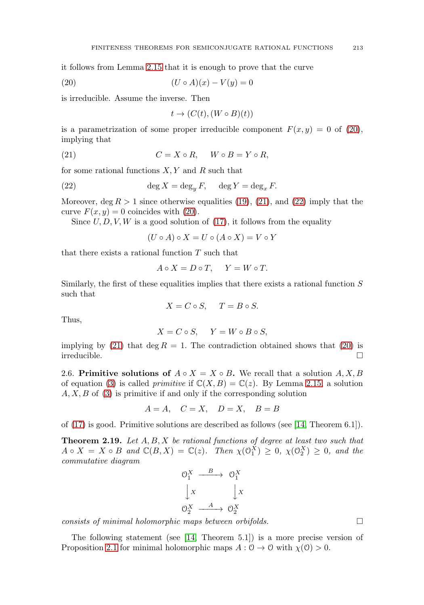it follows from Lemma [2.15](#page-10-1) that it is enough to prove that the curve

<span id="page-11-0"></span>
$$
(20) \qquad \qquad (U \circ A)(x) - V(y) = 0
$$

is irreducible. Assume the inverse. Then

$$
t \to (C(t), (W \circ B)(t))
$$

is a parametrization of some proper irreducible component  $F(x, y) = 0$  of [\(20\)](#page-11-0), implying that

<span id="page-11-1"></span>
$$
(21) \tC = X \circ R, \tW \circ B = Y \circ R,
$$

for some rational functions  $X, Y$  and  $R$  such that

<span id="page-11-2"></span>(22) 
$$
\deg X = \deg_y F, \quad \deg Y = \deg_x F.
$$

Moreover, deg  $R > 1$  since otherwise equalities [\(19\)](#page-10-2), [\(21\)](#page-11-1), and [\(22\)](#page-11-2) imply that the curve  $F(x, y) = 0$  coincides with [\(20\)](#page-11-0).

Since  $U, D, V, W$  is a good solution of [\(17\)](#page-9-0), it follows from the equality

 $(U \circ A) \circ X = U \circ (A \circ X) = V \circ Y$ 

that there exists a rational function  $T$  such that

$$
A \circ X = D \circ T, \quad Y = W \circ T.
$$

Similarly, the first of these equalities implies that there exists a rational function  $S$ such that

$$
X = C \circ S, \quad T = B \circ S.
$$

Thus,

$$
X = C \circ S, \quad Y = W \circ B \circ S,
$$

implying by [\(21\)](#page-11-1) that deg  $R = 1$ . The contradiction obtained shows that [\(20\)](#page-11-0) is  $\Box$  irreducible.

2.6. **Primitive solutions of**  $A \circ X = X \circ B$ . We recall that a solution  $A, X, B$ of equation [\(3\)](#page-1-0) is called *primitive* if  $\mathbb{C}(X, B) = \mathbb{C}(z)$ . By Lemma [2.15,](#page-10-1) a solution  $A, X, B$  of [\(3\)](#page-1-0) is primitive if and only if the corresponding solution

$$
A = A, \quad C = X, \quad D = X, \quad B = B
$$

of [\(17\)](#page-9-0) is good. Primitive solutions are described as follows (see [\[14,](#page-27-9) Theorem 6.1]).

<span id="page-11-3"></span>**Theorem 2.19.** Let A, B, X be rational functions of degree at least two such that  $A \circ X = X \circ B$  and  $\mathbb{C}(B, X) = \mathbb{C}(z)$ . Then  $\chi(\mathcal{O}_1^X) \geq 0$ ,  $\chi(\mathcal{O}_2^X) \geq 0$ , and the commutative diagram

$$
\begin{array}{ccc}\n\mathbf{O}_1^X & \xrightarrow{\quad B \quad} & \mathbf{O}_1^X \\
\downarrow x & & \downarrow x \\
\mathbf{O}_2^X & \xrightarrow{\quad A \quad} & \mathbf{O}_2^X\n\end{array}
$$

consists of minimal holomorphic maps between orbifolds. -

The following statement (see [\[14,](#page-27-9) Theorem 5.1]) is a more precise version of Proposition [2.1](#page-4-3) for minimal holomorphic maps  $A: \mathcal{O} \to \mathcal{O}$  with  $\chi(\mathcal{O}) > 0$ .

 $\Box$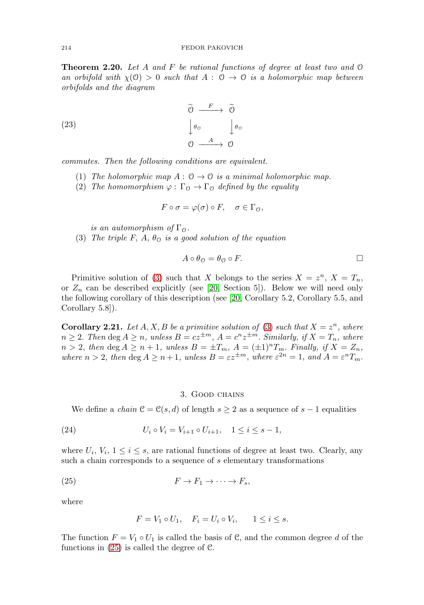<span id="page-12-3"></span>**Theorem 2.20.** Let A and F be rational functions of degree at least two and  $\emptyset$ an orbifold with  $\chi(0) > 0$  such that  $A : 0 \to 0$  is a holomorphic map between orbifolds and the diagram

<span id="page-12-4"></span>(23) 
$$
\begin{array}{ccc}\n\widetilde{O} & \xrightarrow{F} & \widetilde{O} \\
\downarrow \theta_{\mathcal{O}} & & \downarrow \theta_{\mathcal{O}} \\
\mathcal{O} & \xrightarrow{A} & \mathcal{O}\n\end{array}
$$

commutes. Then the following conditions are equivalent.

- (1) The holomorphic map  $A: \mathcal{O} \to \mathcal{O}$  is a minimal holomorphic map.
- (2) The homomorphism  $\varphi : \Gamma_0 \to \Gamma_0$  defined by the equality

$$
F \circ \sigma = \varphi(\sigma) \circ F, \quad \sigma \in \Gamma_0,
$$

is an automorphism of  $\Gamma_{\mathcal{O}}$ .

(3) The triple F, A,  $\theta_{\mathcal{O}}$  is a good solution of the equation

$$
A \circ \theta_{\mathcal{O}} = \theta_{\mathcal{O}} \circ F. \qquad \qquad \Box
$$

Primitive solution of [\(3\)](#page-1-0) such that X belongs to the series  $X = z^n$ ,  $X = T_n$ , or  $Z_n$  can be described explicitly (see [\[20,](#page-27-11) Section 5]). Below we will need only the following corollary of this description (see [\[20,](#page-27-11) Corollary 5.2, Corollary 5.5, and Corollary 5.8]).

<span id="page-12-2"></span>**Corollary 2.21.** Let  $A, X, B$  be a primitive solution of [\(3\)](#page-1-0) such that  $X = z^n$ , where  $n \geq 2$ . Then deg  $A \geq n$ , unless  $B = cz^{\pm m}$ ,  $A = c^n z^{\pm m}$ . Similarly, if  $X = T_n$ , where  $n > 2$ , then deg  $A \ge n + 1$ , unless  $B = \pm T_m$ ,  $A = (\pm 1)^n T_m$ . Finally, if  $X = Z_n$ , where  $n > 2$ , then  $\deg A \geq n+1$ , unless  $B = \varepsilon z^{\pm m}$ , where  $\varepsilon^{2n} = 1$ , and  $A = \varepsilon^n T_m$ .

### 3. Good chains

We define a *chain*  $\mathcal{C} = \mathcal{C}(s, d)$  of length  $s \geq 2$  as a sequence of  $s - 1$  equalities

<span id="page-12-1"></span>(24) 
$$
U_i \circ V_i = V_{i+1} \circ U_{i+1}, \quad 1 \leq i \leq s-1,
$$

where  $U_i, V_i, 1 \leq i \leq s$ , are rational functions of degree at least two. Clearly, any such a chain corresponds to a sequence of s elementary transformations

<span id="page-12-0"></span>
$$
(25) \t\t\t F \to F_1 \to \cdots \to F_s,
$$

where

$$
F = V_1 \circ U_1, \quad F_i = U_i \circ V_i, \quad 1 \le i \le s.
$$

The function  $F = V_1 \circ U_1$  is called the basis of C, and the common degree d of the functions in  $(25)$  is called the degree of  $\mathcal{C}$ .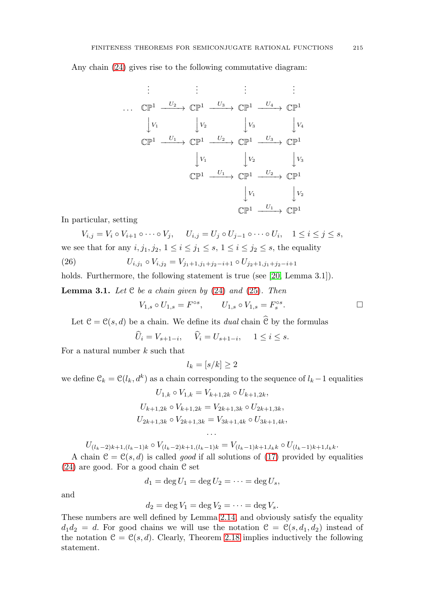Any chain [\(24\)](#page-12-1) gives rise to the following commutative diagram:

. . . . . . . . . . . . ... CP<sup>1</sup> <sup>U</sup><sup>2</sup> −−−−→ CP<sup>1</sup> <sup>U</sup><sup>3</sup> −−−−→ CP<sup>1</sup> <sup>U</sup><sup>4</sup> −−−−→ CP<sup>1</sup> ⏐ ⏐ V<sup>1</sup> ⏐ ⏐ V<sup>2</sup> ⏐ ⏐ V<sup>3</sup> ⏐ ⏐ V<sup>4</sup> CP<sup>1</sup> <sup>U</sup><sup>1</sup> −−−−→ CP<sup>1</sup> <sup>U</sup><sup>2</sup> −−−−→ CP<sup>1</sup> <sup>U</sup><sup>3</sup> −−−−→ CP<sup>1</sup> ⏐ ⏐ V<sup>1</sup> ⏐ ⏐ V<sup>2</sup> ⏐ ⏐ V<sup>3</sup> CP<sup>1</sup> <sup>U</sup><sup>1</sup> −−−−→ CP<sup>1</sup> <sup>U</sup><sup>2</sup> −−−−→ CP<sup>1</sup> ⏐ ⏐ V<sup>1</sup> ⏐ ⏐ V<sup>2</sup> CP<sup>1</sup> <sup>U</sup><sup>1</sup> −−−−→ CP<sup>1</sup>

In particular, setting

$$
V_{i,j} = V_i \circ V_{i+1} \circ \cdots \circ V_j, \quad U_{i,j} = U_j \circ U_{j-1} \circ \cdots \circ U_i, \quad 1 \le i \le j \le s,
$$
  
we see that for any  $i, j_1, j_2, 1 \le i \le j_1 \le s, 1 \le i \le j_2 \le s$ , the equality

<span id="page-13-0"></span>(26) 
$$
U_{i,j_1} \circ V_{i,j_2} = V_{j_1+1,j_1+j_2-i+1} \circ U_{j_2+1,j_1+j_2-i+1}
$$

holds. Furthermore, the following statement is true (see [\[20,](#page-27-11) Lemma 3.1]).

<span id="page-13-1"></span>**Lemma 3.1.** Let  $C$  be a chain given by  $(24)$  and  $(25)$ . Then

$$
V_{1,s}\circ U_{1,s}=F^{\circ s},\qquad U_{1,s}\circ V_{1,s}=F^{\circ s}_s. \qquad \qquad \Box
$$

Let  $\mathcal{C} = \mathcal{C}(s, d)$  be a chain. We define its *dual* chain  $\hat{\mathcal{C}}$  by the formulas

$$
\widehat{U}_i = V_{s+1-i}, \quad \widehat{V}_i = U_{s+1-i}, \quad 1 \le i \le s.
$$

For a natural number  $k$  such that

 $l_k = [s/k] \geq 2$ 

we define  $\mathcal{C}_k = \mathcal{C}(l_k, d^k)$  as a chain corresponding to the sequence of  $l_k-1$  equalities

$$
U_{1,k} \circ V_{1,k} = V_{k+1,2k} \circ U_{k+1,2k},
$$
  
\n
$$
U_{k+1,2k} \circ V_{k+1,2k} = V_{2k+1,3k} \circ U_{2k+1,3k},
$$
  
\n
$$
U_{2k+1,3k} \circ V_{2k+1,3k} = V_{3k+1,4k} \circ U_{3k+1,4k},
$$

...  $U_{(l_k-2)k+1,(l_k-1)k} \circ V_{(l_k-2)k+1,(l_k-1)k} = V_{(l_k-1)k+1,l_kk} \circ U_{(l_k-1)k+1,l_kk}.$ 

A chain  $\mathcal{C} = \mathcal{C}(s, d)$  is called *good* if all solutions of [\(17\)](#page-9-0) provided by equalities  $(24)$  are good. For a good chain  $\mathfrak C$  set

$$
d_1=\deg U_1=\deg U_2=\cdots=\deg U_s,
$$

and

$$
d_2 = \deg V_1 = \deg V_2 = \cdots = \deg V_s.
$$

These numbers are well defined by Lemma [2.14,](#page-9-2) and obviously satisfy the equality  $d_1d_2 = d$ . For good chains we will use the notation  $\mathcal{C} = \mathcal{C}(s, d_1, d_2)$  instead of the notation  $\mathcal{C} = \mathcal{C}(s, d)$ . Clearly, Theorem [2.18](#page-10-3) implies inductively the following statement.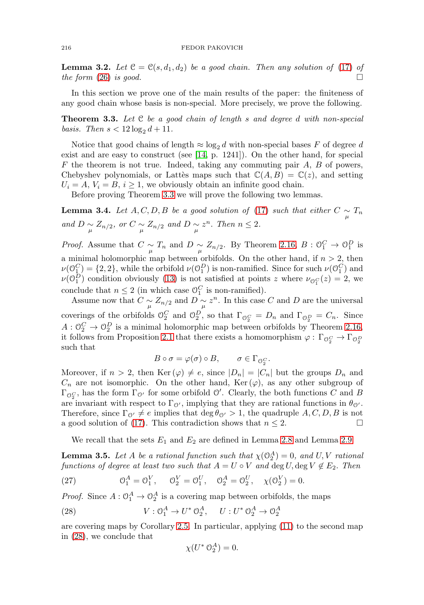#### 216 FEDOR PAKOVICH

<span id="page-14-3"></span>**Lemma 3.2.** Let  $\mathcal{C} = \mathcal{C}(s, d_1, d_2)$  be a good chain. Then any solution of [\(17\)](#page-9-0) of the form  $(26)$  is good.

In this section we prove one of the main results of the paper: the finiteness of any good chain whose basis is non-special. More precisely, we prove the following.

<span id="page-14-0"></span>**Theorem 3.3.** Let C be a good chain of length s and degree d with non-special basis. Then  $s < 12 \log_2 d + 11$ .

Notice that good chains of length  $\approx \log_2 d$  with non-special bases F of degree d exist and are easy to construct (see [\[14,](#page-27-9) p. 1241]). On the other hand, for special  $F$  the theorem is not true. Indeed, taking any commuting pair  $A$ ,  $B$  of powers, Chebyshev polynomials, or Lattes maps such that  $\mathbb{C}(A, B) = \mathbb{C}(z)$ , and setting  $U_i = A, V_i = B, i \geq 1$ , we obviously obtain an infinite good chain.

Before proving Theorem [3.3](#page-14-0) we will prove the following two lemmas.

<span id="page-14-4"></span>**Lemma 3.4.** Let  $A, C, D, B$  be a good solution of [\(17\)](#page-9-0) such that either  $C \sim n T_n$ and  $D \underset{\mu}{\sim} Z_{n/2}$ , or  $C \underset{\mu}{\sim} Z_{n/2}$  and  $D \underset{\mu}{\sim} z^n$ . Then  $n \leq 2$ .

*Proof.* Assume that  $C \sim \pi r$  and  $D \sim Z_{n/2}$ . By Theorem [2.16,](#page-10-4)  $B: \mathcal{O}_1^C \to \mathcal{O}_1^D$  is a minimal holomorphic map between orbifolds. On the other hand, if  $n > 2$ , then  $\nu(\mathbb{O}_1^C) = \{2, 2\}$ , while the orbifold  $\nu(\mathbb{O}_1^D)$  is non-ramified. Since for such  $\nu(\mathbb{O}_1^C)$  and  $\nu(\mathbb{O}_1^D)$  condition obviously [\(13\)](#page-5-0) is not satisfied at points z where  $\nu_{\mathbb{O}_1^C}(z)=2$ , we conclude that  $n \leq 2$  (in which case  $\mathcal{O}_1^C$  is non-ramified).

Assume now that  $C \underset{\mu}{\sim} Z_{n/2}$  and  $D \underset{\mu}{\sim} z^n$ . In this case C and D are the universal coverings of the orbifolds  $\mathcal{O}_2^C$  and  $\mathcal{O}_2^D$ , so that  $\Gamma_{\mathcal{O}_2^C} = D_n$  and  $\Gamma_{\mathcal{O}_2^D} = C_n$ . Since  $A: \mathbb{O}_2^C \to \mathbb{O}_2^D$  is a minimal holomorphic map between orbifolds by Theorem [2.16,](#page-10-4) it follows from Proposition [2.1](#page-4-3) that there exists a homomorphism  $\varphi : \Gamma_{\mathcal{O}_2^C} \to \Gamma_{\mathcal{O}_2^D}$ such that

$$
B\circ\sigma=\varphi(\sigma)\circ B,\qquad\sigma\in\Gamma_{\mathcal{O}_2^C}.
$$

Moreover, if  $n > 2$ , then Ker  $(\varphi) \neq e$ , since  $|D_n| = |C_n|$  but the groups  $D_n$  and  $C_n$  are not isomorphic. On the other hand, Ker  $(\varphi)$ , as any other subgroup of  $\Gamma_{\mathcal{O}_2^C}$ , has the form  $\Gamma_{\mathcal{O}'}$  for some orbifold  $\mathcal{O}'$ . Clearly, the both functions C and B are invariant with respect to  $\Gamma_{\mathcal{O}'},$  implying that they are rational functions in  $\theta_{\mathcal{O}'}$ . Therefore, since  $\Gamma_{\mathcal{O}'} \neq e$  implies that  $\deg \theta_{\mathcal{O}'} > 1$ , the quadruple  $A, C, D, B$  is not a good solution of [\(17\)](#page-9-0). This contradiction shows that  $n \leq 2$ .  $\Box$ 

We recall that the sets  $E_1$  and  $E_2$  are defined in Lemma [2.8](#page-7-2) and Lemma [2.9.](#page-8-1)

<span id="page-14-5"></span>**Lemma 3.5.** Let A be a rational function such that  $\chi(\mathbb{O}_2^A) = 0$ , and  $U, V$  rational functions of degree at least two such that  $A = U \circ V$  and  $\deg U, \deg V \notin E_2$ . Then

<span id="page-14-2"></span>(27) 
$$
\mathcal{O}_1^A = \mathcal{O}_1^V, \quad \mathcal{O}_2^V = \mathcal{O}_1^U, \quad \mathcal{O}_2^A = \mathcal{O}_2^U, \quad \chi(\mathcal{O}_2^V) = 0.
$$

*Proof.* Since  $A: \mathbb{O}_1^A \to \mathbb{O}_2^A$  is a covering map between orbifolds, the maps

<span id="page-14-1"></span>(28) 
$$
V: \mathcal{O}_1^A \to U^* \mathcal{O}_2^A, \quad U: U^* \mathcal{O}_2^A \to \mathcal{O}_2^A
$$

are covering maps by Corollary [2.5.](#page-5-5) In particular, applying [\(11\)](#page-4-2) to the second map in [\(28\)](#page-14-1), we conclude that

$$
\chi(U^* \, \mathcal{O}_2^A) = 0.
$$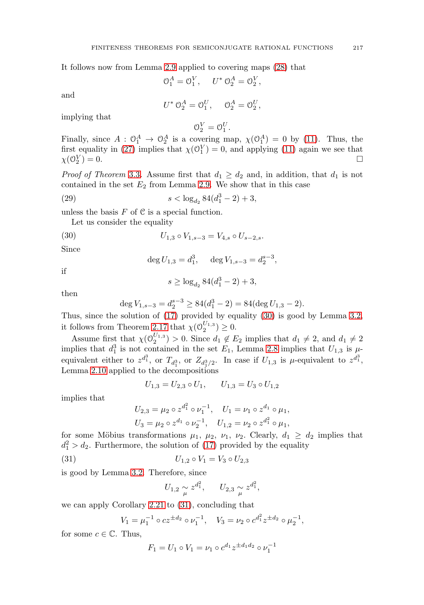It follows now from Lemma [2.9](#page-8-1) applied to covering maps [\(28\)](#page-14-1) that

$$
\mathcal{O}_1^A = \mathcal{O}_1^V, \quad U^* \mathcal{O}_2^A = \mathcal{O}_2^V,
$$

and

$$
U^* \mathfrak{O}_2^A = \mathfrak{O}_1^U, \quad \mathfrak{O}_2^A = \mathfrak{O}_2^U,
$$

implying that

$$
0_2^V = 0_1^U.
$$

Finally, since  $A: \mathcal{O}_1^A \to \mathcal{O}_2^A$  is a covering map,  $\chi(\mathcal{O}_1^A) = 0$  by [\(11\)](#page-4-2). Thus, the first equality in [\(27\)](#page-14-2) implies that  $\chi(\mathcal{O}_1^V) = 0$ , and applying [\(11\)](#page-4-2) again we see that  $\chi(\mathcal{O}_2^V)=0.$  $\binom{V}{2} = 0.$ 

*Proof of Theorem [3.3](#page-14-0).* Assume first that  $d_1 \geq d_2$  and, in addition, that  $d_1$  is not contained in the set  $E_2$  from Lemma [2.9.](#page-8-1) We show that in this case

<span id="page-15-2"></span>(29) 
$$
s < \log_{d_2} 84(d_1^3 - 2) + 3,
$$

unless the basis  $F$  of  $C$  is a special function.

Let us consider the equality

<span id="page-15-0"></span>(30) 
$$
U_{1,3} \circ V_{1,s-3} = V_{4,s} \circ U_{s-2,s}.
$$

Since

$$
\deg U_{1,3} = d_1^3, \quad \deg V_{1,s-3} = d_2^{s-3},
$$

if

$$
s \geq \log_{d_2} 84(d_1^3-2) + 3,
$$

then

$$
\deg V_{1,s-3} = d_2^{s-3} \ge 84(d_1^3 - 2) = 84(\deg U_{1,3} - 2).
$$

Thus, since the solution of [\(17\)](#page-9-0) provided by equality [\(30\)](#page-15-0) is good by Lemma [3.2,](#page-14-3) it follows from Theorem [2.17](#page-10-0) that  $\chi(\mathcal{O}_2^{U_{1,3}}) \geq 0$ .

Assume first that  $\chi(\mathcal{O}_2^{U_{1,3}}) > 0$ . Since  $d_1 \notin E_2$  implies that  $d_1 \neq 2$ , and  $d_1 \neq 2$ implies that  $d_1^3$  is not contained in the set  $E_1$ , Lemma [2.8](#page-7-2) implies that  $U_{1,3}$  is  $\mu$ equivalent either to  $z^{d_1^3}$ , or  $T_{d_1^3}$ , or  $Z_{d_1^3/2}$ . In case if  $U_{1,3}$  is  $\mu$ -equivalent to  $z^{d_1^3}$ , Lemma [2.10](#page-8-0) applied to the decompositions

$$
U_{1,3} = U_{2,3} \circ U_1, \qquad U_{1,3} = U_3 \circ U_{1,2}
$$

implies that

$$
U_{2,3} = \mu_2 \circ z^{d_1^2} \circ \nu_1^{-1}, \quad U_1 = \nu_1 \circ z^{d_1} \circ \mu_1,
$$
  

$$
U_3 = \mu_2 \circ z^{d_1} \circ \nu_2^{-1}, \quad U_{1,2} = \nu_2 \circ z^{d_1^2} \circ \mu_1,
$$

for some Möbius transformations  $\mu_1$ ,  $\mu_2$ ,  $\nu_1$ ,  $\nu_2$ . Clearly,  $d_1 \geq d_2$  implies that  $d_1^2 > d_2$ . Furthermore, the solution of [\(17\)](#page-9-0) provided by the equality

<span id="page-15-1"></span>(31) 
$$
U_{1,2} \circ V_1 = V_3 \circ U_{2,3}
$$

is good by Lemma [3.2.](#page-14-3) Therefore, since

$$
U_{1,2} \underset{\mu}{\sim} z^{d_1^2}
$$
,  $U_{2,3} \underset{\mu}{\sim} z^{d_1^2}$ ,

we can apply Corollary [2.21](#page-12-2) to [\(31\)](#page-15-1), concluding that

$$
V_1 = \mu_1^{-1} \circ cz^{\pm d_2} \circ \nu_1^{-1}, \quad V_3 = \nu_2 \circ c^{d_1^2} z^{\pm d_2} \circ \mu_2^{-1},
$$

for some  $c \in \mathbb{C}$ . Thus,

$$
F_1 = U_1 \circ V_1 = \nu_1 \circ c^{d_1} z^{\pm d_1 d_2} \circ \nu_1^{-1}
$$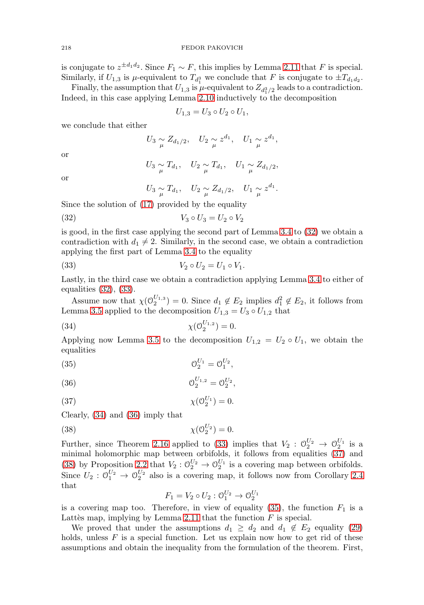is conjugate to  $z^{\pm d_1 d_2}$ . Since  $F_1 \sim F$ , this implies by Lemma [2.11](#page-9-3) that F is special. Similarly, if  $U_{1,3}$  is  $\mu$ -equivalent to  $T_{d_1^3}$  we conclude that F is conjugate to  $\pm T_{d_1d_2}$ .

Finally, the assumption that  $U_{1,3}$  is  $\mu$ -equivalent to  $Z_{d_1^3/2}$  leads to a contradiction. Indeed, in this case applying Lemma [2.10](#page-8-0) inductively to the decomposition

$$
U_{1,3}=U_3\circ U_2\circ U_1,
$$

we conclude that either

$$
U_3 \underset{\mu}{\sim} Z_{d_1/2}, \quad U_2 \underset{\mu}{\sim} z^{d_1}, \quad U_1 \underset{\mu}{\sim} z^{d_1},
$$

or

$$
U_3 \underset{\mu}{\sim} T_{d_1}, \quad U_2 \underset{\mu}{\sim} T_{d_1}, \quad U_1 \underset{\mu}{\sim} Z_{d_1/2},
$$

or

$$
U_3 \underset{\mu}{\sim} T_{d_1}, \quad U_2 \underset{\mu}{\sim} Z_{d_1/2}, \quad U_1 \underset{\mu}{\sim} z^{d_1}.
$$

Since the solution of [\(17\)](#page-9-0) provided by the equality

<span id="page-16-0"></span>
$$
(32) \t\t V_3 \circ U_3 = U_2 \circ V_2
$$

is good, in the first case applying the second part of Lemma [3.4](#page-14-4) to [\(32\)](#page-16-0) we obtain a contradiction with  $d_1 \neq 2$ . Similarly, in the second case, we obtain a contradiction applying the first part of Lemma [3.4](#page-14-4) to the equality

<span id="page-16-1"></span>(33) 
$$
V_2 \circ U_2 = U_1 \circ V_1.
$$

Lastly, in the third case we obtain a contradiction applying Lemma [3.4](#page-14-4) to either of equalities [\(32\)](#page-16-0), [\(33\)](#page-16-1).

Assume now that  $\chi(\mathcal{O}_2^{U_{1,3}}) = 0$ . Since  $d_1 \notin E_2$  implies  $d_1^2 \notin E_2$ , it follows from Lemma [3.5](#page-14-5) applied to the decomposition  $U_{1,3} = U_3 \circ U_{1,2}$  that

<span id="page-16-2"></span>(34) 
$$
\chi(\mathcal{O}_2^{U_{1,2}}) = 0.
$$

Applying now Lemma [3.5](#page-14-5) to the decomposition  $U_{1,2} = U_2 \circ U_1$ , we obtain the equalities

<span id="page-16-6"></span>(35) 
$$
0_2^{U_1} = 0_1^{U_2},
$$

<span id="page-16-3"></span>(36) 
$$
0_2^{U_{1,2}} = 0_2^{U_2},
$$

<span id="page-16-4"></span>
$$
\chi(\mathcal{O}_2^{U_1}) = 0.
$$

Clearly, [\(34\)](#page-16-2) and [\(36\)](#page-16-3) imply that

<span id="page-16-5"></span>
$$
\chi(\mathcal{O}_2^{U_2}) = 0.
$$

Further, since Theorem [2.16](#page-10-4) applied to [\(33\)](#page-16-1) implies that  $V_2$ :  $\mathcal{O}_2^{U_2} \to \mathcal{O}_2^{U_1}$  is a minimal holomorphic map between orbifolds, it follows from equalities [\(37\)](#page-16-4) and [\(38\)](#page-16-5) by Proposition [2.2](#page-4-4) that  $V_2: \mathcal{O}_2^{U_2} \to \mathcal{O}_2^{U_1}$  is a covering map between orbifolds. Since  $U_2$ :  $\mathcal{O}_1^{U_2} \to \mathcal{O}_2^{U_2}$  also is a covering map, it follows now from Corollary [2.4](#page-5-4) that

$$
F_1 = V_2 \circ U_2 : \mathcal{O}_1^{U_2} \to \mathcal{O}_2^{U_1}
$$

is a covering map too. Therefore, in view of equality  $(35)$ , the function  $F_1$  is a Lattès map, implying by Lemma [2.11](#page-9-3) that the function  $F$  is special.

We proved that under the assumptions  $d_1 \geq d_2$  and  $d_1 \notin E_2$  equality [\(29\)](#page-15-2) holds, unless  $F$  is a special function. Let us explain now how to get rid of these assumptions and obtain the inequality from the formulation of the theorem. First,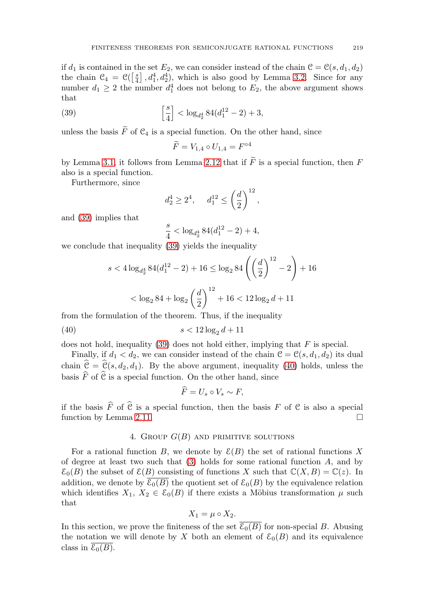if  $d_1$  is contained in the set  $E_2$ , we can consider instead of the chain  $\mathcal{C} = \mathcal{C}(s, d_1, d_2)$ the chain  $C_4 = \mathcal{C}(\left[\frac{s}{4}\right], d_1^4, d_2^4)$ , which is also good by Lemma [3.2.](#page-14-3) Since for any number  $d_1 \geq 2$  the number  $d_1^4$  does not belong to  $E_2$ , the above argument shows that

<span id="page-17-0"></span>(39) 
$$
\left[\frac{s}{4}\right] < \log_{d_2^4} 84(d_1^{12} - 2) + 3,
$$

unless the basis  $F$  of  $\mathcal{C}_4$  is a special function. On the other hand, since

$$
\widetilde{F} = V_{1,4} \circ U_{1,4} = F^{\circ 4}
$$

by Lemma [3.1,](#page-13-1) it follows from Lemma [2.12](#page-9-4) that if  $F$  is a special function, then  $F$ also is a special function.

Furthermore, since

$$
d_2^4 \ge 2^4
$$
,  $d_1^{12} \le \left(\frac{d}{2}\right)^{12}$ ,

and [\(39\)](#page-17-0) implies that

$$
\frac{s}{4}<\log_{d_2^4}84(d_1^{12}-2)+4,
$$

we conclude that inequality [\(39\)](#page-17-0) yields the inequality

$$
s < 4\log_{d_2^4} 84(d_1^{12} - 2) + 16 \le \log_2 84\left(\left(\frac{d}{2}\right)^{12} - 2\right) + 16
$$
  

$$
< \log_2 84 + \log_2 \left(\frac{d}{2}\right)^{12} + 16 < 12\log_2 d + 11
$$

from the formulation of the theorem. Thus, if the inequality

<span id="page-17-1"></span>
$$
(40) \qquad \qquad s < 12\log_2 d + 11
$$

does not hold, inequality [\(39\)](#page-17-0) does not hold either, implying that  $F$  is special.

Finally, if  $d_1 < d_2$ , we can consider instead of the chain  $\mathcal{C} = \mathcal{C}(s, d_1, d_2)$  its dual chain  $\hat{\mathcal{C}} = \hat{\mathcal{C}}(s, d_2, d_1)$ . By the above argument, inequality [\(40\)](#page-17-1) holds, unless the basis  $\widehat{F}$  of  $\widehat{C}$  is a special function. On the other hand, since

$$
F=U_s\circ V_s\sim F,
$$

if the basis  $\widehat{F}$  of  $\widehat{C}$  is a special function, then the basis  $F$  of  $C$  is also a special function by Lemma 2.11. function by Lemma [2.11.](#page-9-3)

# 4. GROUP  $G(B)$  AND PRIMITIVE SOLUTIONS

For a rational function B, we denote by  $\mathcal{E}(B)$  the set of rational functions X of degree at least two such that  $(3)$  holds for some rational function A, and by  $\mathcal{E}_0(B)$  the subset of  $\mathcal{E}(B)$  consisting of functions X such that  $\mathbb{C}(X,B) = \mathbb{C}(z)$ . In addition, we denote by  $\overline{\mathcal{E}_0(B)}$  the quotient set of  $\mathcal{E}_0(B)$  by the equivalence relation which identifies  $X_1, X_2 \in \mathcal{E}_0(B)$  if there exists a Möbius transformation  $\mu$  such that

$$
X_1 = \mu \circ X_2.
$$

In this section, we prove the finiteness of the set  $\overline{\mathcal{E}_0(B)}$  for non-special B. Abusing the notation we will denote by X both an element of  $\mathcal{E}_0(B)$  and its equivalence class in  $\overline{\mathcal{E}_0(B)}$ .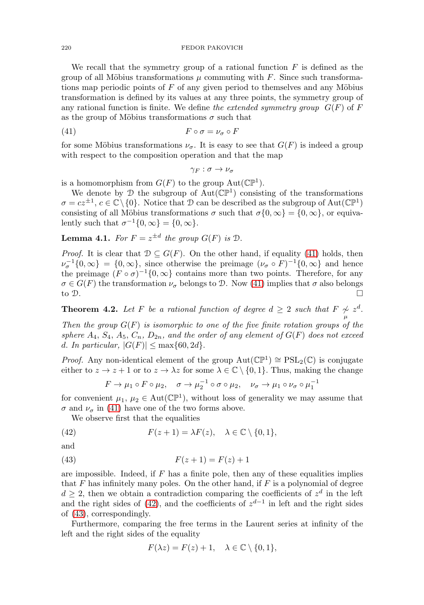We recall that the symmetry group of a rational function  $F$  is defined as the group of all Möbius transformations  $\mu$  commuting with F. Since such transformations map periodic points of  $F$  of any given period to themselves and any Möbius transformation is defined by its values at any three points, the symmetry group of any rational function is finite. We define the extended symmetry group  $G(F)$  of F as the group of Möbius transformations  $\sigma$  such that

<span id="page-18-0"></span>
$$
(41) \t\t\t F \circ \sigma = \nu_{\sigma} \circ F
$$

for some Möbius transformations  $\nu_{\sigma}$ . It is easy to see that  $G(F)$  is indeed a group with respect to the composition operation and that the map

$$
\gamma_F:\sigma\to\nu_\sigma
$$

is a homomorphism from  $G(F)$  to the group  $Aut(\mathbb{CP}^1)$ .

We denote by  $\mathcal D$  the subgroup of Aut( $\mathbb{CP}^1$ ) consisting of the transformations  $\sigma = cz^{\pm 1}, c \in \mathbb{C} \setminus \{0\}.$  Notice that D can be described as the subgroup of Aut $(\mathbb{CP}^1)$ consisting of all Möbius transformations  $\sigma$  such that  $\sigma\{0,\infty\} = \{0,\infty\}$ , or equivalently such that  $\sigma^{-1}\{0,\infty\} = \{0,\infty\}.$ 

<span id="page-18-3"></span>**Lemma 4.1.** For  $F = z^{\pm d}$  the group  $G(F)$  is  $\mathcal{D}$ .

*Proof.* It is clear that  $\mathcal{D} \subseteq G(F)$ . On the other hand, if equality [\(41\)](#page-18-0) holds, then  $\nu_{\sigma}^{-1}\{0,\infty\} = \{0,\infty\},\$  since otherwise the preimage  $(\nu_{\sigma} \circ F)^{-1}\{0,\infty\}$  and hence the preimage  $(F \circ \sigma)^{-1}\{0,\infty\}$  contains more than two points. Therefore, for any  $\sigma \in G(F)$  the transformation  $\nu_{\sigma}$  belongs to D. Now [\(41\)](#page-18-0) implies that  $\sigma$  also belongs to D.

**Theorem 4.2.** Let F be a rational function of degree  $d \geq 2$  such that  $F \underset{\mu}{\sim} z^d$ .

Then the group  $G(F)$  is isomorphic to one of the five finite rotation groups of the sphere  $A_4$ ,  $S_4$ ,  $A_5$ ,  $C_n$ ,  $D_{2n}$ , and the order of any element of  $G(F)$  does not exceed d. In particular,  $|G(F)| \leq \max\{60, 2d\}.$ 

*Proof.* Any non-identical element of the group  $Aut(\mathbb{CP}^1) \cong PSL_2(\mathbb{C})$  is conjugate either to  $z \to z + 1$  or to  $z \to \lambda z$  for some  $\lambda \in \mathbb{C} \setminus \{0, 1\}$ . Thus, making the change

$$
F \to \mu_1 \circ F \circ \mu_2, \quad \sigma \to \mu_2^{-1} \circ \sigma \circ \mu_2, \quad \nu_\sigma \to \mu_1 \circ \nu_\sigma \circ \mu_1^{-1}
$$

for convenient  $\mu_1, \mu_2 \in \text{Aut}(\mathbb{CP}^1)$ , without loss of generality we may assume that  $\sigma$  and  $\nu_{\sigma}$  in [\(41\)](#page-18-0) have one of the two forms above.

We observe first that the equalities

<span id="page-18-1"></span>(42) 
$$
F(z+1) = \lambda F(z), \quad \lambda \in \mathbb{C} \setminus \{0,1\},
$$

$$
\quad\text{and}\quad
$$

<span id="page-18-2"></span>(43) 
$$
F(z+1) = F(z) + 1
$$

are impossible. Indeed, if  $F$  has a finite pole, then any of these equalities implies that  $F$  has infinitely many poles. On the other hand, if  $F$  is a polynomial of degree  $d \geq 2$ , then we obtain a contradiction comparing the coefficients of  $z<sup>d</sup>$  in the left and the right sides of [\(42\)](#page-18-1), and the coefficients of  $z^{d-1}$  in left and the right sides of [\(43\)](#page-18-2), correspondingly.

Furthermore, comparing the free terms in the Laurent series at infinity of the left and the right sides of the equality

$$
F(\lambda z) = F(z) + 1, \quad \lambda \in \mathbb{C} \setminus \{0, 1\},\
$$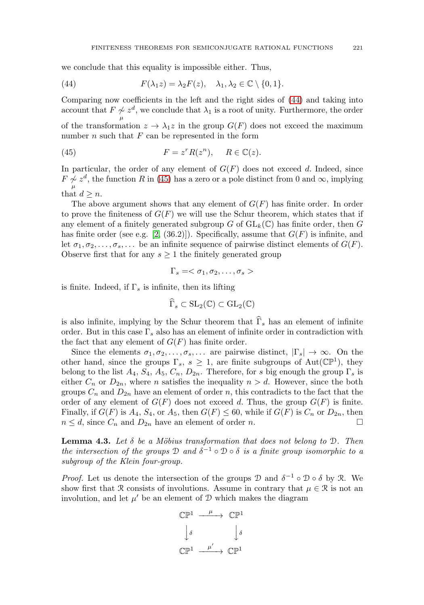we conclude that this equality is impossible either. Thus,

<span id="page-19-0"></span>(44) 
$$
F(\lambda_1 z) = \lambda_2 F(z), \quad \lambda_1, \lambda_2 \in \mathbb{C} \setminus \{0, 1\}.
$$

Comparing now coefficients in the left and the right sides of [\(44\)](#page-19-0) and taking into account that  $F \nsim z^d$ , we conclude that  $\lambda_1$  is a root of unity. Furthermore, the order μ of the transformation  $z \to \lambda_1 z$  in the group  $G(F)$  does not exceed the maximum number  $n$  such that  $F$  can be represented in the form

<span id="page-19-1"></span>(45) 
$$
F = z^r R(z^n), \quad R \in \mathbb{C}(z).
$$

In particular, the order of any element of  $G(F)$  does not exceed d. Indeed, since  $F \nless z^d$ , the function R in [\(45\)](#page-19-1) has a zero or a pole distinct from 0 and  $\infty$ , implying μ that  $d \geq n$ .

The above argument shows that any element of  $G(F)$  has finite order. In order to prove the finiteness of  $G(F)$  we will use the Schur theorem, which states that if any element of a finitely generated subgroup G of  $GL_k(\mathbb{C})$  has finite order, then G has finite order (see e.g. [\[2,](#page-26-2) (36.2)]). Specifically, assume that  $G(F)$  is infinite, and let  $\sigma_1, \sigma_2, \ldots, \sigma_s, \ldots$  be an infinite sequence of pairwise distinct elements of  $G(F)$ . Observe first that for any  $s \geq 1$  the finitely generated group

$$
\Gamma_s=<\sigma_1,\sigma_2,\ldots,\sigma_s>
$$

is finite. Indeed, if  $\Gamma_s$  is infinite, then its lifting

$$
\widehat{\Gamma}_s \subset \mathrm{SL}_2(\mathbb{C}) \subset \mathrm{GL}_2(\mathbb{C})
$$

is also infinite, implying by the Schur theorem that  $\widehat{\Gamma}_s$  has an element of infinite order. But in this case  $\Gamma_s$  also has an element of infinite order in contradiction with the fact that any element of  $G(F)$  has finite order.

Since the elements  $\sigma_1, \sigma_2, \ldots, \sigma_s, \ldots$  are pairwise distinct,  $|\Gamma_s| \to \infty$ . On the other hand, since the groups  $\Gamma_s$ ,  $s \geq 1$ , are finite subgroups of Aut( $\mathbb{CP}^1$ ), they belong to the list  $A_4$ ,  $S_4$ ,  $A_5$ ,  $C_n$ ,  $D_{2n}$ . Therefore, for s big enough the group  $\Gamma_s$  is either  $C_n$  or  $D_{2n}$ , where *n* satisfies the inequality  $n>d$ . However, since the both groups  $C_n$  and  $D_{2n}$  have an element of order n, this contradicts to the fact that the order of any element of  $G(F)$  does not exceed d. Thus, the group  $G(F)$  is finite. Finally, if  $G(F)$  is  $A_4$ ,  $S_4$ , or  $A_5$ , then  $G(F) \leq 60$ , while if  $G(F)$  is  $C_n$  or  $D_{2n}$ , then  $n \leq d$ , since  $C_n$  and  $D_{2n}$  have an element of order n.

<span id="page-19-2"></span>**Lemma 4.3.** Let  $\delta$  be a Möbius transformation that does not belong to D. Then the intersection of the groups  $\mathcal D$  and  $\delta^{-1} \circ \mathcal D \circ \delta$  is a finite group isomorphic to a subgroup of the Klein four-group.

*Proof.* Let us denote the intersection of the groups  $\mathcal D$  and  $\delta^{-1} \circ \mathcal D \circ \delta$  by R. We show first that R consists of involutions. Assume in contrary that  $\mu \in \mathcal{R}$  is not an involution, and let  $\mu'$  be an element of D which makes the diagram

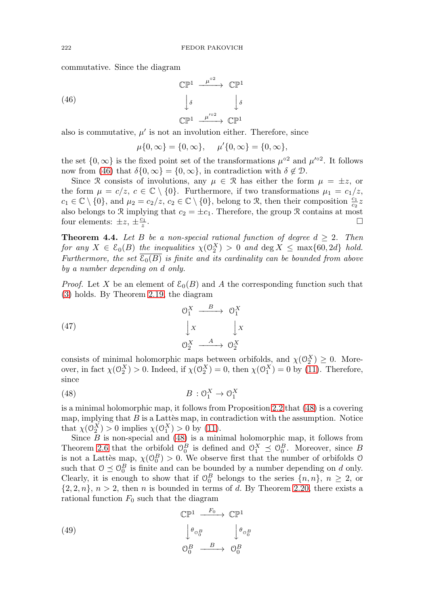commutative. Since the diagram

<span id="page-20-0"></span>(46) 
$$
\mathbb{CP}^{1} \xrightarrow{\mu^{\circ 2}} \mathbb{CP}^{1}
$$

$$
\downarrow \delta \qquad \qquad \downarrow \delta
$$

$$
\mathbb{CP}^{1} \xrightarrow{\mu^{\prime \circ 2}} \mathbb{CP}^{1}
$$

also is commutative,  $\mu'$  is not an involution either. Therefore, since

$$
\mu\{0,\infty\} = \{0,\infty\}, \quad \mu'\{0,\infty\} = \{0,\infty\},\
$$

the set  $\{0,\infty\}$  is the fixed point set of the transformations  $\mu^{\circ 2}$  and  $\mu'^{\circ 2}$ . It follows now from [\(46\)](#page-20-0) that  $\delta\{0,\infty\} = \{0,\infty\}$ , in contradiction with  $\delta \notin \mathcal{D}$ .

Since R consists of involutions, any  $\mu \in \mathcal{R}$  has either the form  $\mu = \pm z$ , or the form  $\mu = c/z, c \in \mathbb{C} \setminus \{0\}$ . Furthermore, if two transformations  $\mu_1 = c_1/z$ ,  $c_1 \in \mathbb{C} \setminus \{0\}$ , and  $\mu_2 = c_2/z$ ,  $c_2 \in \mathbb{C} \setminus \{0\}$ , belong to R, then their composition  $\frac{c_1}{c_2}z$ also belongs to R implying that  $c_2 = \pm c_1$ . Therefore, the group R contains at most four elements:  $\pm z, \pm \frac{c_1}{z}.$  $\frac{z_1}{z}$ .

<span id="page-20-4"></span>**Theorem 4.4.** Let B be a non-special rational function of degree  $d \geq 2$ . Then for any  $X \in \mathcal{E}_0(B)$  the inequalities  $\chi(\mathbb{O}_2^X) > 0$  and  $\deg X \le \max\{60, 2d\}$  hold. Furthermore, the set  $\overline{\mathcal{E}_0(B)}$  is finite and its cardinality can be bounded from above by a number depending on d only.

*Proof.* Let X be an element of  $\mathcal{E}_0(B)$  and A the corresponding function such that [\(3\)](#page-1-0) holds. By Theorem [2.19,](#page-11-3) the diagram

<span id="page-20-3"></span>(47) 
$$
\begin{array}{ccc}\n & \circ_{1}^{X} & \xrightarrow{B} & \circ_{1}^{X} \\
 & \downarrow x & \downarrow x \\
 & \circ_{2}^{X} & \xrightarrow{A} & \circ_{2}^{X}\n\end{array}
$$

consists of minimal holomorphic maps between orbifolds, and  $\chi(\mathcal{O}_2^X) \geq 0$ . Moreover, in fact  $\chi(\mathcal{O}_2^X) > 0$ . Indeed, if  $\chi(\mathcal{O}_2^X) = 0$ , then  $\chi(\mathcal{O}_1^X) = 0$  by [\(11\)](#page-4-2). Therefore, since

<span id="page-20-1"></span>
$$
(48) \t\t B: \mathcal{O}_1^X \to \mathcal{O}_1^X
$$

is a minimal holomorphic map, it follows from Proposition [2.2](#page-4-4) that [\(48\)](#page-20-1) is a covering map, implying that  $B$  is a Lattès map, in contradiction with the assumption. Notice that  $\chi(\mathcal{O}_2^X) > 0$  implies  $\chi(\mathcal{O}_1^X) > 0$  by [\(11\)](#page-4-2).

Since  $B$  is non-special and  $(48)$  is a minimal holomorphic map, it follows from Theorem [2.6](#page-6-0) that the orbifold  $\mathcal{O}_0^B$  is defined and  $\mathcal{O}_1^X \preceq \mathcal{O}_0^B$ . Moreover, since B is not a Lattès map,  $\chi(\mathcal{O}_0^B) > 0$ . We observe first that the number of orbifolds  $\mathcal O$ such that  $0 \leq \theta_0^B$  is finite and can be bounded by a number depending on d only. Clearly, it is enough to show that if  $\mathcal{O}_0^B$  belongs to the series  $\{n,n\}, n \geq 2$ , or  $\{2, 2, n\}, n > 2$ , then *n* is bounded in terms of *d*. By Theorem [2.20,](#page-12-3) there exists a rational function  $F_0$  such that the diagram

<span id="page-20-2"></span>(49)  
\n
$$
\begin{array}{ccc}\n\mathbb{CP}^1 & \xrightarrow{F_0} & \mathbb{CP}^1 \\
\downarrow \theta_{\mathcal{O}_0^B} & & \downarrow \theta_{\mathcal{O}_0^B} \\
\mathcal{O}_0^B & \xrightarrow{B} & \mathcal{O}_0^B\n\end{array}
$$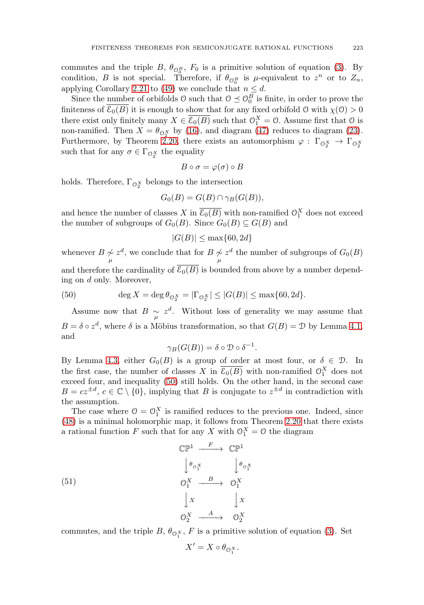commutes and the triple  $B, \theta_{\mathcal{O}_0^B}, F_0$  is a primitive solution of equation [\(3\)](#page-1-0). By condition, B is not special. Therefore, if  $\theta_{\mathcal{O}_0^B}$  is  $\mu$ -equivalent to  $z^n$  or to  $Z_n$ , applying Corollary [2.21](#page-12-2) to [\(49\)](#page-20-2) we conclude that  $n \leq d$ .

Since the number of orbifolds  $\mathcal{O}$  such that  $\mathcal{O} \preceq \mathcal{O}_0^B$  is finite, in order to prove the finiteness of  $\overline{\mathcal{E}_0(B)}$  it is enough to show that for any fixed orbifold O with  $\chi(0) > 0$ there exist only finitely many  $X \in \overline{\mathcal{E}_0(B)}$  such that  $\mathcal{O}_1^X = \mathcal{O}$ . Assume first that  $\mathcal{O}$  is non-ramified. Then  $X = \theta_{\mathcal{O}_2^X}$  by [\(16\)](#page-6-1), and diagram [\(47\)](#page-20-3) reduces to diagram [\(23\)](#page-12-4). Furthermore, by Theorem [2.20,](#page-12-3) there exists an automorphism  $\varphi : \Gamma_{\mathcal{O}_2^X} \to \Gamma_{\mathcal{O}_2^X}$ such that for any  $\sigma \in \Gamma_{\mathcal{O}_2^X}$  the equality

$$
B \circ \sigma = \varphi(\sigma) \circ B
$$

holds. Therefore,  $\Gamma_{\mathcal{O}_2^X}$  belongs to the intersection

$$
G_0(B) = G(B) \cap \gamma_B(G(B)),
$$

and hence the number of classes X in  $\overline{\mathcal{E}_0(B)}$  with non-ramified  $\mathcal{O}_1^X$  does not exceed the number of subgroups of  $G_0(B)$ . Since  $G_0(B) \subseteq G(B)$  and

$$
|G(B)| \le \max\{60, 2d\}
$$

whenever  $B \underset{\mu}{\sim} z^d$ , we conclude that for  $B \underset{\mu}{\sim} z^d$  the number of subgroups of  $G_0(B)$ and therefore the cardinality of  $\overline{\mathcal{E}_0(B)}$  is bounded from above by a number depending on d only. Moreover,

<span id="page-21-0"></span>(50) 
$$
\deg X = \deg \theta_{\mathcal{O}_2^X} = |\Gamma_{\mathcal{O}_2^X}| \le |G(B)| \le \max\{60, 2d\}.
$$

Assume now that  $B \sim z^d$ . Without loss of generality we may assume that  $B = \delta \circ z^d$ , where  $\delta$  is a Möbius transformation, so that  $G(B) = \mathcal{D}$  by Lemma [4.1,](#page-18-3) and

$$
\gamma_B(G(B)) = \delta \circ \mathcal{D} \circ \delta^{-1}.
$$

By Lemma [4.3,](#page-19-2) either  $G_0(B)$  is a group of order at most four, or  $\delta \in \mathcal{D}$ . In the first case, the number of classes X in  $\overline{\mathcal{E}_0(B)}$  with non-ramified  $\mathcal{O}_1^X$  does not exceed four, and inequality  $(50)$  still holds. On the other hand, in the second case  $B = cz^{\pm d}, c \in \mathbb{C} \setminus \{0\},$  implying that B is conjugate to  $z^{\pm d}$  in contradiction with the assumption.

The case where  $0 = 0<sub>1</sub><sup>X</sup>$  is ramified reduces to the previous one. Indeed, since [\(48\)](#page-20-1) is a minimal holomorphic map, it follows from Theorem [2.20](#page-12-3) that there exists a rational function F such that for any X with  $\mathcal{O}_1^X = \mathcal{O}$  the diagram

<span id="page-21-1"></span>(51)  
\n
$$
\begin{array}{ccc}\n\mathbb{CP}^1 & \xrightarrow{F} & \mathbb{CP}^1 \\
\downarrow \theta_{\sigma_1^X} & \downarrow \theta_{\sigma_1^X} \\
\downarrow \sigma_1^X & \xrightarrow{B} & \mathcal{O}_1^X \\
\downarrow x & \downarrow x \\
\mathbb{O}_2^X & \xrightarrow{A} & \mathcal{O}_2^X\n\end{array}
$$

commutes, and the triple  $B, \theta_{\mathcal{O}_1^X}, F$  is a primitive solution of equation [\(3\)](#page-1-0). Set

$$
X' = X \circ \theta_{\mathcal{O}_1^X}.
$$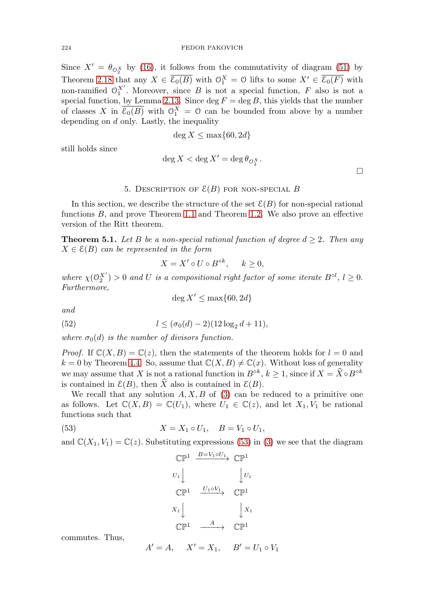Since  $X' = \theta_{\mathcal{O}_2^X}$  by [\(16\)](#page-6-1), it follows from the commutativity of diagram [\(51\)](#page-21-1) by Theorem [2.18](#page-10-3) that any  $X \in \overline{\mathcal{E}_0(B)}$  with  $\mathcal{O}_1^X = \mathcal{O}$  lifts to some  $X' \in \overline{\mathcal{E}_0(F)}$  with non-ramified  $O_1^{\chi'}$ . Moreover, since B is not a special function, F also is not a special function, by Lemma [2.13.](#page-9-5) Since  $\deg F = \deg B$ , this yields that the number of classes X in  $\overline{\mathcal{E}_0(B)}$  with  $\mathcal{O}_1^X = \mathcal{O}$  can be bounded from above by a number depending on  $d$  only. Lastly, the inequality

$$
\deg X \le \max\{60, 2d\}
$$

still holds since

$$
\deg X < \deg X' = \deg \theta_{\mathcal{O}_2^X}.
$$

 $\Box$ 

### 5. DESCRIPTION OF  $\mathcal{E}(B)$  for non-special B

In this section, we describe the structure of the set  $\mathcal{E}(B)$  for non-special rational functions B, and prove Theorem [1.1](#page-2-0) and Theorem [1.2.](#page-2-1) We also prove an effective version of the Ritt theorem.

**Theorem 5.1.** Let B be a non-special rational function of degree  $d \geq 2$ . Then any  $X \in \mathcal{E}(B)$  can be represented in the form

$$
X = X' \circ U \circ B^{\circ k}, \quad k \ge 0,
$$

where  $\chi(\mathcal{O}_2^{X'}) > 0$  and U is a compositional right factor of some iterate  $B^{\circ l}$ ,  $l \geq 0$ . Furthermore,

 $\deg X' \le \max\{60, 2d\}$ 

and

<span id="page-22-1"></span>(52) 
$$
l \leq (\sigma_0(d) - 2)(12\log_2 d + 11),
$$

where  $\sigma_0(d)$  is the number of divisors function.

*Proof.* If  $\mathbb{C}(X, B) = \mathbb{C}(z)$ , then the statements of the theorem holds for  $l = 0$  and  $k = 0$  by Theorem [4.4.](#page-20-4) So, assume that  $\mathbb{C}(X, B) \neq \mathbb{C}(x)$ . Without loss of generality we may assume that X is not a rational function in  $B^{\circ k}$ ,  $k \geq 1$ , since if  $X = \widehat{X} \circ B^{\circ k}$ is contained in  $\mathcal{E}(B)$ , then  $\widehat{X}$  also is contained in  $\mathcal{E}(B)$ .

We recall that any solution  $A, X, B$  of [\(3\)](#page-1-0) can be reduced to a primitive one as follows. Let  $\mathbb{C}(X, B) = \mathbb{C}(U_1)$ , where  $U_1 \in \mathbb{C}(z)$ , and let  $X_1, V_1$  be rational functions such that

<span id="page-22-0"></span>(53) 
$$
X = X_1 \circ U_1, \quad B = V_1 \circ U_1,
$$

and  $\mathbb{C}(X_1, V_1) = \mathbb{C}(z)$ . Substituting expressions [\(53\)](#page-22-0) in [\(3\)](#page-1-0) we see that the diagram

$$
\begin{array}{ccc}\n\mathbb{CP}^1 & \xrightarrow{B=V_1 \circ U_1} & \mathbb{CP}^1 \\
U_1 & & \downarrow U_1 \\
\mathbb{CP}^1 & \xrightarrow{U_1 \circ V_1} & \mathbb{CP}^1 \\
X_1 & & \downarrow X_1 \\
\mathbb{CP}^1 & \xrightarrow{A} & \mathbb{CP}^1\n\end{array}
$$

commutes. Thus,

$$
A' = A
$$
,  $X' = X_1$ ,  $B' = U_1 \circ V_1$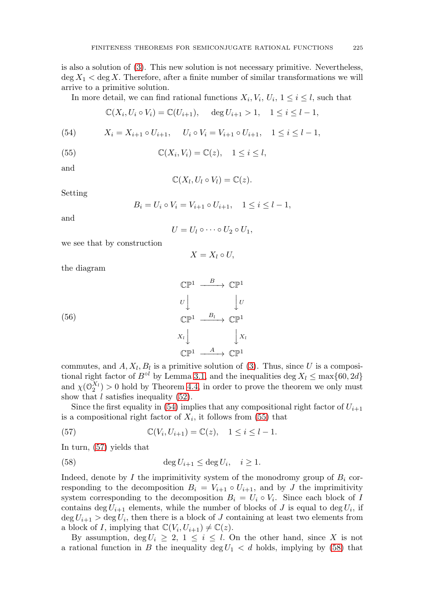is also a solution of [\(3\)](#page-1-0). This new solution is not necessary primitive. Nevertheless,  $\deg X_1 < \deg X$ . Therefore, after a finite number of similar transformations we will arrive to a primitive solution.

In more detail, we can find rational functions  $X_i, V_i, U_i, 1 \leq i \leq l$ , such that

$$
\mathbb{C}(X_i, U_i \circ V_i) = \mathbb{C}(U_{i+1}), \quad \deg U_{i+1} > 1, \quad 1 \le i \le l-1,
$$

<span id="page-23-0"></span>(54) 
$$
X_i = X_{i+1} \circ U_{i+1}, \quad U_i \circ V_i = V_{i+1} \circ U_{i+1}, \quad 1 \le i \le l-1,
$$

<span id="page-23-1"></span>(55) 
$$
\mathbb{C}(X_i, V_i) = \mathbb{C}(z), \quad 1 \leq i \leq l,
$$

and

$$
\mathbb{C}(X_l, U_l \circ V_l) = \mathbb{C}(z).
$$

Setting

$$
B_i = U_i \circ V_i = V_{i+1} \circ U_{i+1}, \quad 1 \le i \le l-1,
$$

and

$$
U=U_1\circ\cdots\circ U_2\circ U_1,
$$

we see that by construction

$$
X = X_l \circ U,
$$

the diagram

<span id="page-23-4"></span>(56)  
\n
$$
\begin{array}{ccc}\n\mathbb{CP}^1 & \xrightarrow{B} & \mathbb{CP}^1 \\
U & \downarrow U \\
\mathbb{CP}^1 & \xrightarrow{B_l} & \mathbb{CP}^1 \\
X_l & \downarrow X_l \\
\mathbb{CP}^1 & \xrightarrow{A} & \mathbb{CP}^1\n\end{array}
$$

commutes, and  $A, X_l, B_l$  is a primitive solution of [\(3\)](#page-1-0). Thus, since U is a compositional right factor of  $B^{\circ l}$  by Lemma [3.1,](#page-13-1) and the inequalities deg  $X_l \leq \max\{60, 2d\}$ and  $\chi(\mathcal{O}_2^{X_l}) > 0$  hold by Theorem [4.4,](#page-20-4) in order to prove the theorem we only must show that  $l$  satisfies inequality  $(52)$ .

Since the first equality in [\(54\)](#page-23-0) implies that any compositional right factor of  $U_{i+1}$ is a compositional right factor of  $X_i$ , it follows from [\(55\)](#page-23-1) that

<span id="page-23-2"></span>(57) 
$$
\mathbb{C}(V_i, U_{i+1}) = \mathbb{C}(z), \quad 1 \le i \le l-1.
$$

In turn, [\(57\)](#page-23-2) yields that

<span id="page-23-3"></span>(58) 
$$
\deg U_{i+1} \leq \deg U_i, \quad i \geq 1.
$$

Indeed, denote by I the imprimitivity system of the monodromy group of  $B_i$  corresponding to the decomposition  $B_i = V_{i+1} \circ U_{i+1}$ , and by J the imprimitivity system corresponding to the decomposition  $B_i = U_i \circ V_i$ . Since each block of I contains deg  $U_{i+1}$  elements, while the number of blocks of J is equal to deg  $U_i$ , if  $\deg U_{i+1} > \deg U_i$ , then there is a block of J containing at least two elements from a block of I, implying that  $\mathbb{C}(V_i, U_{i+1}) \neq \mathbb{C}(z)$ .

By assumption,  $\deg U_i \geq 2$ ,  $1 \leq i \leq l$ . On the other hand, since X is not a rational function in B the inequality deg  $U_1 < d$  holds, implying by [\(58\)](#page-23-3) that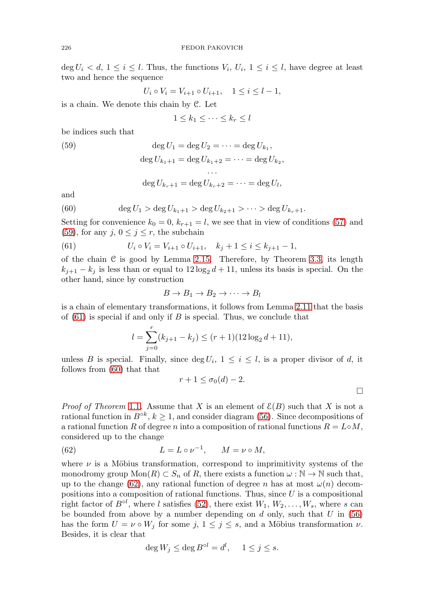deg  $U_i < d$ ,  $1 \le i \le l$ . Thus, the functions  $V_i$ ,  $U_i$ ,  $1 \le i \le l$ , have degree at least two and hence the sequence

$$
U_i \circ V_i = V_{i+1} \circ U_{i+1}, \quad 1 \le i \le l-1,
$$

is a chain. We denote this chain by C. Let

$$
1 \leq k_1 \leq \cdots \leq k_r \leq l
$$

be indices such that

<span id="page-24-0"></span>(59) 
$$
\deg U_1 = \deg U_2 = \dots = \deg U_{k_1},
$$

$$
\deg U_{k_1+1} = \deg U_{k_1+2} = \dots = \deg U_{k_2},
$$

$$
\dots
$$

$$
\deg U_{k_r+1} = \deg U_{k_r+2} = \dots = \deg U_l,
$$

and

<span id="page-24-2"></span>(60) 
$$
\deg U_1 > \deg U_{k_1+1} > \deg U_{k_2+1} > \cdots > \deg U_{k_r+1}.
$$

Setting for convenience  $k_0 = 0$ ,  $k_{r+1} = l$ , we see that in view of conditions [\(57\)](#page-23-2) and [\(59\)](#page-24-0), for any  $j, 0 \le j \le r$ , the subchain

<span id="page-24-1"></span>(61) 
$$
U_i \circ V_i = V_{i+1} \circ U_{i+1}, \quad k_j + 1 \leq i \leq k_{j+1} - 1,
$$

of the chain  $\mathfrak C$  is good by Lemma [2.15.](#page-10-1) Therefore, by Theorem [3.3,](#page-14-0) its length  $k_{j+1} - k_j$  is less than or equal to  $12 \log_2 d + 11$ , unless its basis is special. On the other hand, since by construction

$$
B \to B_1 \to B_2 \to \cdots \to B_l
$$

is a chain of elementary transformations, it follows from Lemma [2.11](#page-9-3) that the basis of  $(61)$  is special if and only if B is special. Thus, we conclude that

$$
l = \sum_{j=0}^{r} (k_{j+1} - k_j) \le (r+1)(12 \log_2 d + 11),
$$

unless B is special. Finally, since  $\deg U_i$ ,  $1 \leq i \leq l$ , is a proper divisor of d, it follows from [\(60\)](#page-24-2) that that

$$
r+1 \le \sigma_0(d)-2.
$$

*Proof of Theorem* [1.1](#page-2-0). Assume that X is an element of  $\mathcal{E}(B)$  such that X is not a rational function in  $B^{\circ k}$ ,  $k \ge 1$ , and consider diagram [\(56\)](#page-23-4). Since decompositions of a rational function R of degree n into a composition of rational functions  $R = L \circ M$ , considered up to the change

<span id="page-24-3"></span>(62) 
$$
L = L \circ \nu^{-1}, \qquad M = \nu \circ M,
$$

where  $\nu$  is a Möbius transformation, correspond to imprimitivity systems of the monodromy group  $\text{Mon}(R) \subset S_n$  of R, there exists a function  $\omega : \mathbb{N} \to \mathbb{N}$  such that, up to the change [\(62\)](#page-24-3), any rational function of degree n has at most  $\omega(n)$  decompositions into a composition of rational functions. Thus, since  $U$  is a compositional right factor of  $B^{\circ l}$ , where l satisfies [\(52\)](#page-22-1), there exist  $W_1, W_2, \ldots, W_s$ , where s can be bounded from above by a number depending on  $d$  only, such that  $U$  in [\(56\)](#page-23-4) has the form  $U = \nu \circ W_j$  for some  $j, 1 \leq j \leq s$ , and a Möbius transformation  $\nu$ . Besides, it is clear that

$$
\deg W_j \le \deg B^{\circ l} = d^l, \quad 1 \le j \le s.
$$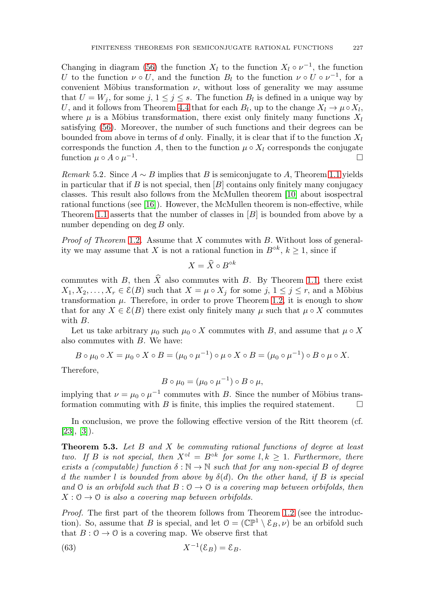Changing in diagram [\(56\)](#page-23-4) the function  $X_l$  to the function  $X_l \circ \nu^{-1}$ , the function U to the function  $\nu \circ U$ , and the function  $B_l$  to the function  $\nu \circ U \circ \nu^{-1}$ , for a convenient Möbius transformation  $\nu$ , without loss of generality we may assume that  $U = W_i$ , for some j,  $1 \leq j \leq s$ . The function  $B_l$  is defined in a unique way by U, and it follows from Theorem [4.4](#page-20-4) that for each  $B_l$ , up to the change  $X_l \to \mu \circ X_l$ , where  $\mu$  is a Möbius transformation, there exist only finitely many functions  $X_l$ satisfying [\(56\)](#page-23-4). Moreover, the number of such functions and their degrees can be bounded from above in terms of d only. Finally, it is clear that if to the function  $X_l$ corresponds the function A, then to the function  $\mu \circ X_l$  corresponds the conjugate function  $\mu \circ A \circ \mu^{-1}$ .

Remark 5.2. Since  $A \sim B$  implies that B is semiconjugate to A, Theorem [1.1](#page-2-0) yields in particular that if B is not special, then  $[B]$  contains only finitely many conjugacy classes. This result also follows from the McMullen theorem [\[10\]](#page-27-18) about isospectral rational functions (see  $[16]$ ). However, the McMullen theorem is non-effective, while Theorem [1.1](#page-2-0) asserts that the number of classes in  $[B]$  is bounded from above by a number depending on  $\deg B$  only.

*Proof of Theorem [1.2](#page-2-1).* Assume that  $X$  commutes with  $B$ . Without loss of generality we may assume that X is not a rational function in  $B^{\circ k}$ ,  $k \ge 1$ , since if

$$
X = \widehat{X} \circ B^{\circ k}
$$

commutes with B, then  $\widehat{X}$  also commutes with B. By Theorem [1.1,](#page-2-0) there exist  $X_1, X_2, \ldots, X_r \in \mathcal{E}(B)$  such that  $X = \mu \circ X_j$  for some  $j, 1 \leq j \leq r$ , and a Möbius transformation  $\mu$ . Therefore, in order to prove Theorem [1.2,](#page-2-1) it is enough to show that for any  $X \in \mathcal{E}(B)$  there exist only finitely many  $\mu$  such that  $\mu \circ X$  commutes with B.

Let us take arbitrary  $\mu_0$  such  $\mu_0 \circ X$  commutes with B, and assume that  $\mu \circ X$ also commutes with B. We have:

$$
B \circ \mu_0 \circ X = \mu_0 \circ X \circ B = (\mu_0 \circ \mu^{-1}) \circ \mu \circ X \circ B = (\mu_0 \circ \mu^{-1}) \circ B \circ \mu \circ X.
$$

Therefore,

$$
B\circ \mu_0=(\mu_0\circ \mu^{-1})\circ B\circ \mu,
$$

implying that  $\nu = \mu_0 \circ \mu^{-1}$  commutes with B. Since the number of Möbius transformation commuting with  $B$  is finite, this implies the required statement.  $\Box$ 

In conclusion, we prove the following effective version of the Ritt theorem (cf.  $[23], [3]$  $[23], [3]$  $[23], [3]$ .

**Theorem 5.3.** Let B and X be commuting rational functions of degree at least two. If B is not special, then  $X^{\circ l} = B^{\circ k}$  for some  $l, k \geq 1$ . Furthermore, there exists a (computable) function  $\delta : \mathbb{N} \to \mathbb{N}$  such that for any non-special B of degree d the number l is bounded from above by  $\delta(d)$ . On the other hand, if B is special and O is an orbifold such that  $B: O \to O$  is a covering map between orbifolds, then  $X: \mathcal{O} \to \mathcal{O}$  is also a covering map between orbifolds.

Proof. The first part of the theorem follows from Theorem [1.2](#page-2-1) (see the introduction). So, assume that B is special, and let  $\mathcal{O} = (\mathbb{CP}^1 \setminus \mathcal{E}_B, \nu)$  be an orbifold such that  $B: \mathcal{O} \to \mathcal{O}$  is a covering map. We observe first that

<span id="page-25-0"></span>(63) 
$$
X^{-1}(\mathcal{E}_B) = \mathcal{E}_B.
$$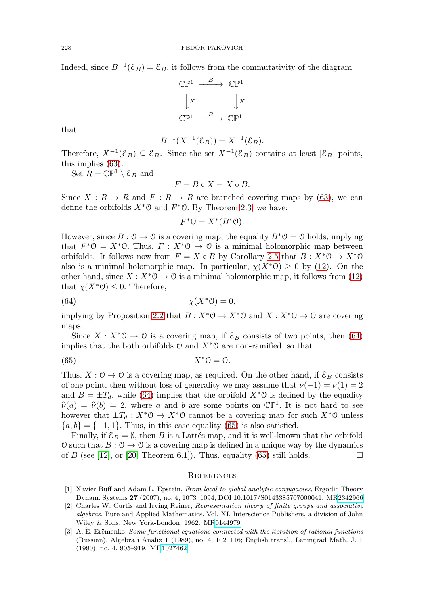Indeed, since  $B^{-1}(\mathcal{E}_B) = \mathcal{E}_B$ , it follows from the commutativity of the diagram

$$
\begin{array}{ccc}\n\mathbb{CP}^1 & \xrightarrow{\quad \quad B \quad} & \mathbb{CP}^1 \\
\downarrow x & & \downarrow x \\
\mathbb{CP}^1 & \xrightarrow{\quad \quad B \quad} & \mathbb{CP}^1\n\end{array}
$$

that

$$
B^{-1}(X^{-1}(\mathcal{E}_B)) = X^{-1}(\mathcal{E}_B).
$$

Therefore,  $X^{-1}(\mathcal{E}_B) \subseteq \mathcal{E}_B$ . Since the set  $X^{-1}(\mathcal{E}_B)$  contains at least  $|\mathcal{E}_B|$  points, this implies [\(63\)](#page-25-0).

Set  $R = \mathbb{C} \mathbb{P}^1 \setminus \mathcal{E}_B$  and

$$
F=B\circ X=X\circ B.
$$

Since  $X : R \to R$  and  $F : R \to R$  are branched covering maps by [\(63\)](#page-25-0), we can define the orbifolds  $X^*$ O and  $F^*$ O. By Theorem [2.3,](#page-5-1) we have:

$$
F^*0 = X^*(B^*0).
$$

However, since  $B: \mathcal{O} \to \mathcal{O}$  is a covering map, the equality  $B^*\mathcal{O} = \mathcal{O}$  holds, implying that  $F^*O = X^*O$ . Thus,  $F : X^*O \to O$  is a minimal holomorphic map between orbifolds. It follows now from  $F = X \circ B$  by Corollary [2.5](#page-5-5) that  $B : X^* \mathcal{O} \to X^* \mathcal{O}$ also is a minimal holomorphic map. In particular,  $\chi(X^*\mathcal{O}) \geq 0$  by [\(12\)](#page-4-5). On the other hand, since  $X : X^* \mathcal{O} \to \mathcal{O}$  is a minimal holomorphic map, it follows from [\(12\)](#page-4-5) that  $\chi(X^*\mathcal{O}) \leq 0$ . Therefore,

<span id="page-26-3"></span>
$$
\chi(X^*0) = 0,
$$

implying by Proposition [2.2](#page-4-4) that  $B: X^*\mathcal{O} \to X^*\mathcal{O}$  and  $X: X^*\mathcal{O} \to \mathcal{O}$  are covering maps.

Since  $X : X^*0 \to 0$  is a covering map, if  $\mathcal{E}_B$  consists of two points, then [\(64\)](#page-26-3) implies that the both orbifolds  $\mathcal{O}$  and  $X^*\mathcal{O}$  are non-ramified, so that

<span id="page-26-4"></span>
$$
(65) \t\t X^*0 = 0.
$$

Thus,  $X: \mathcal{O} \to \mathcal{O}$  is a covering map, as required. On the other hand, if  $\mathcal{E}_B$  consists of one point, then without loss of generality we may assume that  $\nu(-1) = \nu(1) = 2$ and  $B = \pm T_d$ , while [\(64\)](#page-26-3) implies that the orbifold  $X^*$ <sup>o</sup> is defined by the equality  $\hat{\nu}(a) = \hat{\nu}(b) = 2$ , where a and b are some points on  $\mathbb{CP}^1$ . It is not hard to see however that  $\pm T_d : X^* \mathcal{O} \to X^* \mathcal{O}$  cannot be a covering map for such  $X^* \mathcal{O}$  unless  ${a, b} = {-1, 1}$ . Thus, in this case equality [\(65\)](#page-26-4) is also satisfied.

Finally, if  $\mathcal{E}_B = \emptyset$ , then B is a Lattés map, and it is well-known that the orbifold O such that  $B: \mathcal{O} \to \mathcal{O}$  is a covering map is defined in a unique way by the dynamics of B (see [\[12\]](#page-27-16), or [\[20,](#page-27-11) Theorem 6.1]). Thus, equality [\(65\)](#page-26-4) still holds.  $\square$ 

#### **REFERENCES**

- <span id="page-26-1"></span>[1] Xavier Buff and Adam L. Epstein, From local to global analytic conjugacies, Ergodic Theory Dynam. Systems **27** (2007), no. 4, 1073–1094, DOI 10.1017/S0143385707000041. M[R2342966](https://www.ams.org/mathscinet-getitem?mr=2342966)
- <span id="page-26-2"></span>[2] Charles W. Curtis and Irving Reiner, Representation theory of finite groups and associative algebras, Pure and Applied Mathematics, Vol. XI, Interscience Publishers, a division of John Wiley & Sons, New York-London, 1962. M[R0144979](https://www.ams.org/mathscinet-getitem?mr=0144979)
- <span id="page-26-0"></span> $[3]$  A. E. Erëmenko, Some functional equations connected with the iteration of rational functions (Russian), Algebra i Analiz **1** (1989), no. 4, 102–116; English transl., Leningrad Math. J. **1** (1990), no. 4, 905–919. M[R1027462](https://www.ams.org/mathscinet-getitem?mr=1027462)